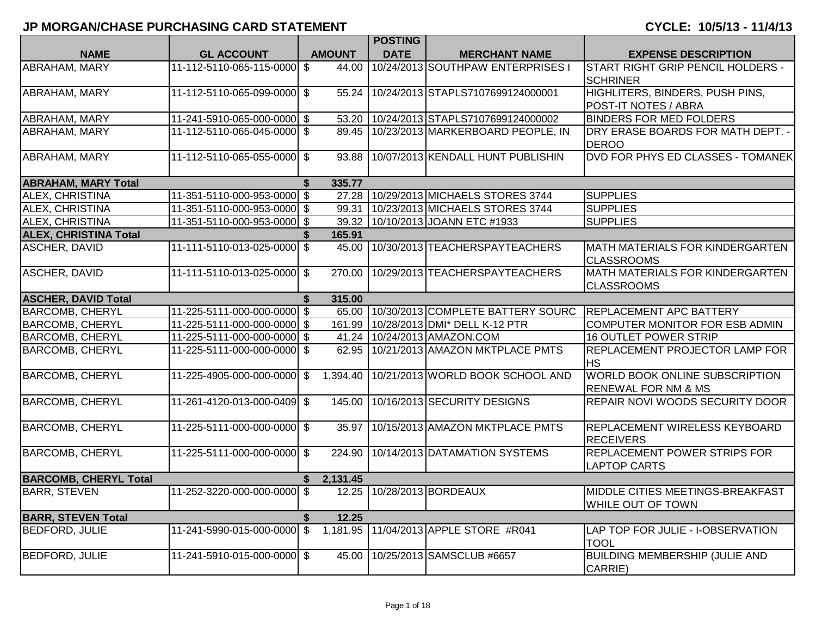|                              |                             |                | <b>POSTING</b> |                                         |                                                                  |
|------------------------------|-----------------------------|----------------|----------------|-----------------------------------------|------------------------------------------------------------------|
| <b>NAME</b>                  | <b>GL ACCOUNT</b>           | <b>AMOUNT</b>  | <b>DATE</b>    | <b>MERCHANT NAME</b>                    | <b>EXPENSE DESCRIPTION</b>                                       |
| ABRAHAM, MARY                | 11-112-5110-065-115-0000    | \$<br>44.00    |                | 10/24/2013 SOUTHPAW ENTERPRISES I       | START RIGHT GRIP PENCIL HOLDERS -<br><b>SCHRINER</b>             |
| <b>ABRAHAM, MARY</b>         | 11-112-5110-065-099-0000 \$ | 55.24          |                | 10/24/2013 STAPLS7107699124000001       | HIGHLITERS, BINDERS, PUSH PINS,                                  |
|                              |                             |                |                |                                         | POST-IT NOTES / ABRA                                             |
| ABRAHAM, MARY                | 11-241-5910-065-000-0000 \$ | 53.20          |                | 10/24/2013 STAPLS7107699124000002       | <b>BINDERS FOR MED FOLDERS</b>                                   |
| <b>ABRAHAM, MARY</b>         | 11-112-5110-065-045-0000 \$ |                |                | 89.45 10/23/2013 MARKERBOARD PEOPLE, IN | DRY ERASE BOARDS FOR MATH DEPT. -<br><b>DEROO</b>                |
| <b>ABRAHAM, MARY</b>         | 11-112-5110-065-055-0000 \$ | 93.88          |                | 10/07/2013 KENDALL HUNT PUBLISHIN       | DVD FOR PHYS ED CLASSES - TOMANEK                                |
| <b>ABRAHAM, MARY Total</b>   |                             | 335.77         |                |                                         |                                                                  |
| ALEX, CHRISTINA              | 11-351-5110-000-953-0000 \$ |                |                | 27.28   10/29/2013 MICHAELS STORES 3744 | <b>SUPPLIES</b>                                                  |
| ALEX, CHRISTINA              | 11-351-5110-000-953-0000 \$ | 99.31          |                | 10/23/2013 MICHAELS STORES 3744         | <b>SUPPLIES</b>                                                  |
| <b>ALEX, CHRISTINA</b>       | 11-351-5110-000-953-0000 \$ | 39.32          |                | 10/10/2013 JOANN ETC #1933              | <b>SUPPLIES</b>                                                  |
| <b>ALEX, CHRISTINA Total</b> |                             | 165.91         |                |                                         |                                                                  |
| <b>ASCHER, DAVID</b>         | 11-111-5110-013-025-0000 \$ | 45.00          |                | 10/30/2013 TEACHERSPAYTEACHERS          | MATH MATERIALS FOR KINDERGARTEN<br><b>CLASSROOMS</b>             |
| <b>ASCHER, DAVID</b>         | 11-111-5110-013-025-0000 \$ | 270.00         |                | 10/29/2013 TEACHERSPAYTEACHERS          | <b>MATH MATERIALS FOR KINDERGARTEN</b><br><b>CLASSROOMS</b>      |
| <b>ASCHER, DAVID Total</b>   |                             | \$<br>315.00   |                |                                         |                                                                  |
| <b>BARCOMB, CHERYL</b>       | 11-225-5111-000-000-0000 \$ |                |                | 65.00 10/30/2013 COMPLETE BATTERY SOURC | <b>REPLACEMENT APC BATTERY</b>                                   |
| <b>BARCOMB, CHERYL</b>       | 11-225-5111-000-000-0000 \$ | 161.99         |                | 10/28/2013 DMI* DELL K-12 PTR           | COMPUTER MONITOR FOR ESB ADMIN                                   |
| <b>BARCOMB, CHERYL</b>       | 11-225-5111-000-000-0000 \$ | 41.24          |                | 10/24/2013 AMAZON.COM                   | <b>16 OUTLET POWER STRIP</b>                                     |
| <b>BARCOMB, CHERYL</b>       | 11-225-5111-000-000-0000 \$ | 62.95          |                | 10/21/2013 AMAZON MKTPLACE PMTS         | REPLACEMENT PROJECTOR LAMP FOR<br><b>HS</b>                      |
| <b>BARCOMB, CHERYL</b>       | 11-225-4905-000-000-0000    | \$<br>1,394.40 |                | 10/21/2013 WORLD BOOK SCHOOL AND        | WORLD BOOK ONLINE SUBSCRIPTION<br><b>RENEWAL FOR NM &amp; MS</b> |
| <b>BARCOMB, CHERYL</b>       | 11-261-4120-013-000-0409 \$ | 145.00         |                | 10/16/2013 SECURITY DESIGNS             | REPAIR NOVI WOODS SECURITY DOOR                                  |
| <b>BARCOMB, CHERYL</b>       | 11-225-5111-000-000-0000 \$ | 35.97          |                | 10/15/2013 AMAZON MKTPLACE PMTS         | <b>REPLACEMENT WIRELESS KEYBOARD</b><br><b>RECEIVERS</b>         |
| <b>BARCOMB, CHERYL</b>       | 11-225-5111-000-000-0000 \$ | 224.90         |                | 10/14/2013 DATAMATION SYSTEMS           | REPLACEMENT POWER STRIPS FOR<br><b>LAPTOP CARTS</b>              |
| <b>BARCOMB, CHERYL Total</b> |                             | \$<br>2,131.45 |                |                                         |                                                                  |
| <b>BARR, STEVEN</b>          | 11-252-3220-000-000-0000    | \$<br>12.25    |                | 10/28/2013 BORDEAUX                     | MIDDLE CITIES MEETINGS-BREAKFAST<br>WHILE OUT OF TOWN            |
| <b>BARR, STEVEN Total</b>    |                             | \$<br>12.25    |                |                                         |                                                                  |
| <b>BEDFORD, JULIE</b>        | 11-241-5990-015-000-0000 \$ |                |                | 1,181.95 11/04/2013 APPLE STORE #R041   | LAP TOP FOR JULIE - I-OBSERVATION<br><b>TOOL</b>                 |
| <b>BEDFORD, JULIE</b>        | 11-241-5910-015-000-0000 \$ | 45.00          |                | 10/25/2013 SAMSCLUB #6657               | <b>BUILDING MEMBERSHIP (JULIE AND</b><br>CARRIE)                 |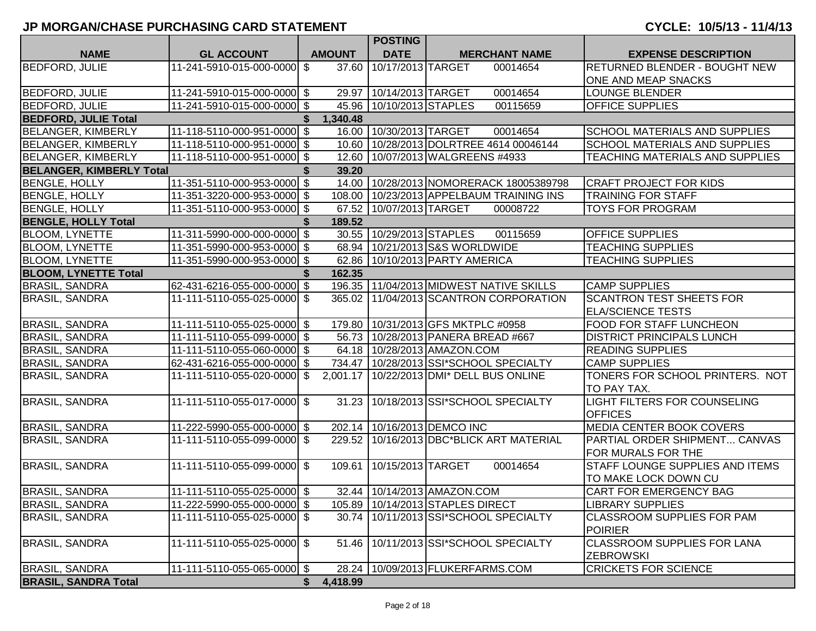|                                 |                             |    |               | <b>POSTING</b>           |                                        |                                             |                                      |
|---------------------------------|-----------------------------|----|---------------|--------------------------|----------------------------------------|---------------------------------------------|--------------------------------------|
| <b>NAME</b>                     | <b>GL ACCOUNT</b>           |    | <b>AMOUNT</b> | <b>DATE</b>              |                                        | <b>MERCHANT NAME</b>                        | <b>EXPENSE DESCRIPTION</b>           |
| <b>BEDFORD, JULIE</b>           | 11-241-5910-015-000-0000    | \$ | 37.60         | 10/17/2013 TARGET        |                                        | 00014654                                    | RETURNED BLENDER - BOUGHT NEW        |
|                                 |                             |    |               |                          |                                        |                                             | ONE AND MEAP SNACKS                  |
| <b>BEDFORD, JULIE</b>           | 11-241-5910-015-000-0000 \$ |    |               | 29.97 10/14/2013 TARGET  |                                        | 00014654                                    | <b>LOUNGE BLENDER</b>                |
| <b>BEDFORD, JULIE</b>           | 11-241-5910-015-000-0000 \$ |    |               | 45.96 10/10/2013 STAPLES |                                        | 00115659                                    | <b>OFFICE SUPPLIES</b>               |
| <b>BEDFORD, JULIE Total</b>     |                             |    | 1,340.48      |                          |                                        |                                             |                                      |
| <b>BELANGER, KIMBERLY</b>       | 11-118-5110-000-951-0000 \$ |    |               | 16.00 10/30/2013 TARGET  |                                        | 00014654                                    | SCHOOL MATERIALS AND SUPPLIES        |
| <b>BELANGER, KIMBERLY</b>       | 11-118-5110-000-951-0000 \$ |    |               |                          |                                        | 10.60   10/28/2013 DOLRTREE 4614 00046144   | <b>SCHOOL MATERIALS AND SUPPLIES</b> |
| <b>BELANGER, KIMBERLY</b>       | 11-118-5110-000-951-0000 \$ |    |               |                          | 12.60   10/07/2013   WALGREENS #4933   |                                             | TEACHING MATERIALS AND SUPPLIES      |
| <b>BELANGER, KIMBERLY Total</b> |                             |    | 39.20         |                          |                                        |                                             |                                      |
| <b>BENGLE, HOLLY</b>            | 11-351-5110-000-953-0000 \$ |    |               |                          |                                        | 14.00 10/28/2013 NOMORERACK 18005389798     | <b>CRAFT PROJECT FOR KIDS</b>        |
| <b>BENGLE, HOLLY</b>            | 11-351-3220-000-953-0000 \$ |    |               |                          |                                        | 108.00   10/23/2013 APPELBAUM TRAINING INS  | <b>TRAINING FOR STAFF</b>            |
| <b>BENGLE, HOLLY</b>            | 11-351-5110-000-953-0000 \$ |    |               | 67.52 10/07/2013 TARGET  |                                        | 00008722                                    | <b>TOYS FOR PROGRAM</b>              |
| <b>BENGLE, HOLLY Total</b>      |                             |    | 189.52        |                          |                                        |                                             |                                      |
| <b>BLOOM, LYNETTE</b>           | 11-311-5990-000-000-0000 \$ |    |               | 30.55 10/29/2013 STAPLES |                                        | 00115659                                    | <b>OFFICE SUPPLIES</b>               |
| <b>BLOOM, LYNETTE</b>           | 11-351-5990-000-953-0000 \$ |    |               |                          | 68.94 10/21/2013 S&S WORLDWIDE         |                                             | <b>TEACHING SUPPLIES</b>             |
| <b>BLOOM, LYNETTE</b>           | 11-351-5990-000-953-0000 \$ |    |               |                          | 62.86 10/10/2013 PARTY AMERICA         |                                             | <b>TEACHING SUPPLIES</b>             |
| <b>BLOOM, LYNETTE Total</b>     |                             |    | 162.35        |                          |                                        |                                             |                                      |
| <b>BRASIL, SANDRA</b>           | 62-431-6216-055-000-0000 \$ |    |               |                          |                                        | 196.35   11/04/2013   MIDWEST NATIVE SKILLS | <b>CAMP SUPPLIES</b>                 |
| <b>BRASIL, SANDRA</b>           | 11-111-5110-055-025-0000 \$ |    |               |                          |                                        | 365.02 11/04/2013 SCANTRON CORPORATION      | <b>SCANTRON TEST SHEETS FOR</b>      |
|                                 |                             |    |               |                          |                                        |                                             | <b>ELA/SCIENCE TESTS</b>             |
| <b>BRASIL, SANDRA</b>           | 11-111-5110-055-025-0000 \$ |    |               |                          | 179.80   10/31/2013 GFS MKTPLC #0958   |                                             | FOOD FOR STAFF LUNCHEON              |
| <b>BRASIL, SANDRA</b>           | 11-111-5110-055-099-0000 \$ |    |               |                          | 56.73   10/28/2013   PANERA BREAD #667 |                                             | <b>DISTRICT PRINCIPALS LUNCH</b>     |
| <b>BRASIL, SANDRA</b>           | 11-111-5110-055-060-0000 \$ |    |               |                          | 64.18   10/28/2013   AMAZON.COM        |                                             | <b>READING SUPPLIES</b>              |
| <b>BRASIL, SANDRA</b>           | 62-431-6216-055-000-0000 \$ |    |               |                          |                                        | 734.47   10/28/2013   SSI*SCHOOL SPECIALTY  | <b>CAMP SUPPLIES</b>                 |
| <b>BRASIL, SANDRA</b>           | 11-111-5110-055-020-0000 \$ |    |               |                          |                                        | 2,001.17   10/22/2013 DMI* DELL BUS ONLINE  | TONERS FOR SCHOOL PRINTERS. NOT      |
|                                 |                             |    |               |                          |                                        |                                             | TO PAY TAX.                          |
| <b>BRASIL, SANDRA</b>           | 11-111-5110-055-017-0000 \$ |    |               |                          |                                        | 31.23   10/18/2013   SSI*SCHOOL SPECIALTY   | LIGHT FILTERS FOR COUNSELING         |
|                                 |                             |    |               |                          |                                        |                                             | <b>OFFICES</b>                       |
| <b>BRASIL, SANDRA</b>           | 11-222-5990-055-000-0000 \$ |    |               |                          | 202.14   10/16/2013 DEMCO INC          |                                             | MEDIA CENTER BOOK COVERS             |
| <b>BRASIL, SANDRA</b>           | 11-111-5110-055-099-0000 \$ |    |               |                          |                                        | 229.52   10/16/2013 DBC*BLICK ART MATERIAL  | PARTIAL ORDER SHIPMENT CANVAS        |
|                                 |                             |    |               |                          |                                        |                                             | FOR MURALS FOR THE                   |
| <b>BRASIL, SANDRA</b>           | 11-111-5110-055-099-0000 \$ |    | 109.61        | 10/15/2013 TARGET        |                                        | 00014654                                    | STAFF LOUNGE SUPPLIES AND ITEMS      |
|                                 |                             |    |               |                          |                                        |                                             | TO MAKE LOCK DOWN CU                 |
| <b>BRASIL, SANDRA</b>           | 11-111-5110-055-025-0000 \$ |    |               |                          | 32.44   10/14/2013   AMAZON.COM        |                                             | CART FOR EMERGENCY BAG               |
| <b>BRASIL, SANDRA</b>           | 11-222-5990-055-000-0000 \$ |    |               |                          | 105.89   10/14/2013 STAPLES DIRECT     |                                             | <b>LIBRARY SUPPLIES</b>              |
| <b>BRASIL, SANDRA</b>           | 11-111-5110-055-025-0000 \$ |    |               |                          |                                        | 30.74   10/11/2013 SSI*SCHOOL SPECIALTY     | <b>CLASSROOM SUPPLIES FOR PAM</b>    |
|                                 |                             |    |               |                          |                                        |                                             | <b>POIRIER</b>                       |
| <b>BRASIL, SANDRA</b>           | 11-111-5110-055-025-0000 \$ |    |               |                          |                                        | 51.46 10/11/2013 SSI*SCHOOL SPECIALTY       | <b>CLASSROOM SUPPLIES FOR LANA</b>   |
|                                 |                             |    |               |                          |                                        |                                             | <b>ZEBROWSKI</b>                     |
| <b>BRASIL, SANDRA</b>           | 11-111-5110-055-065-0000 \$ |    | 28.24         |                          | 10/09/2013 FLUKERFARMS.COM             |                                             | <b>CRICKETS FOR SCIENCE</b>          |
| <b>BRASIL, SANDRA Total</b>     |                             | S. | 4,418.99      |                          |                                        |                                             |                                      |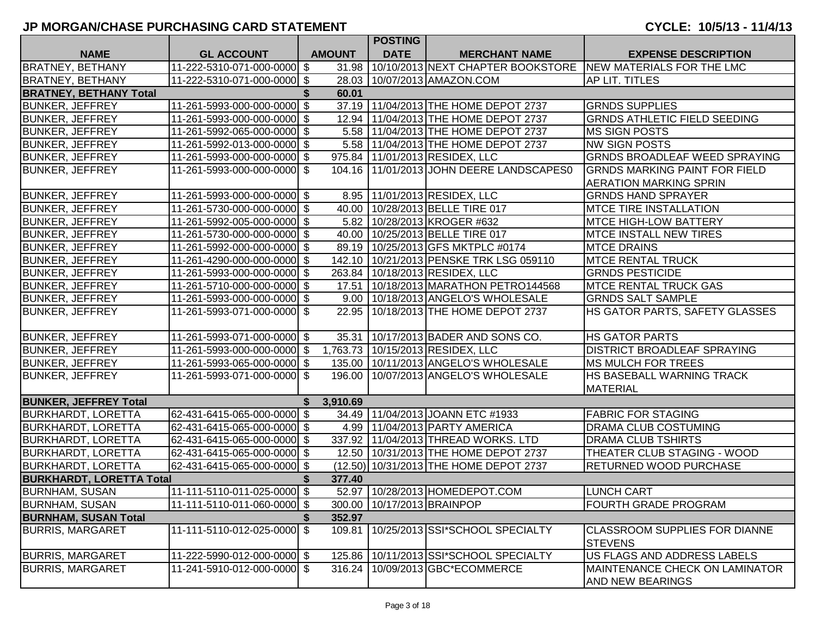|                                 |                             |               | <b>POSTING</b>               |                                            |                                                                   |
|---------------------------------|-----------------------------|---------------|------------------------------|--------------------------------------------|-------------------------------------------------------------------|
| <b>NAME</b>                     | <b>GL ACCOUNT</b>           | <b>AMOUNT</b> | <b>DATE</b>                  | <b>MERCHANT NAME</b>                       | <b>EXPENSE DESCRIPTION</b>                                        |
| <b>BRATNEY, BETHANY</b>         | 11-222-5310-071-000-0000 \$ |               |                              |                                            | 31.98 10/10/2013 NEXT CHAPTER BOOKSTORE NEW MATERIALS FOR THE LMC |
| <b>BRATNEY, BETHANY</b>         | 11-222-5310-071-000-0000 \$ |               |                              | 28.03   10/07/2013   AMAZON.COM            | <b>AP LIT. TITLES</b>                                             |
| <b>BRATNEY, BETHANY Total</b>   |                             | \$<br>60.01   |                              |                                            |                                                                   |
| <b>BUNKER, JEFFREY</b>          | 11-261-5993-000-000-0000 \$ |               |                              | 37.19 11/04/2013 THE HOME DEPOT 2737       | <b>GRNDS SUPPLIES</b>                                             |
| <b>BUNKER, JEFFREY</b>          | 11-261-5993-000-000-0000 \$ |               |                              | 12.94   11/04/2013 THE HOME DEPOT 2737     | <b>GRNDS ATHLETIC FIELD SEEDING</b>                               |
| <b>BUNKER, JEFFREY</b>          | 11-261-5992-065-000-0000 \$ | 5.58          |                              | 11/04/2013 THE HOME DEPOT 2737             | <b>MS SIGN POSTS</b>                                              |
| <b>BUNKER, JEFFREY</b>          | 11-261-5992-013-000-0000 \$ |               |                              | 5.58   11/04/2013 THE HOME DEPOT 2737      | <b>NW SIGN POSTS</b>                                              |
| <b>BUNKER, JEFFREY</b>          | 11-261-5993-000-000-0000 \$ |               |                              | 975.84 11/01/2013 RESIDEX, LLC             | <b>GRNDS BROADLEAF WEED SPRAYING</b>                              |
| <b>BUNKER, JEFFREY</b>          | 11-261-5993-000-000-0000 \$ |               |                              | 104.16   11/01/2013 JOHN DEERE LANDSCAPES0 | <b>GRNDS MARKING PAINT FOR FIELD</b>                              |
|                                 |                             |               |                              |                                            | <b>AERATION MARKING SPRIN</b>                                     |
| <b>BUNKER, JEFFREY</b>          | 11-261-5993-000-000-0000 \$ |               |                              | 8.95   11/01/2013   RESIDEX, LLC           | <b>GRNDS HAND SPRAYER</b>                                         |
| <b>BUNKER, JEFFREY</b>          | 11-261-5730-000-000-0000 \$ |               |                              | 40.00 10/28/2013 BELLE TIRE 017            | <b>MTCE TIRE INSTALLATION</b>                                     |
| <b>BUNKER, JEFFREY</b>          | 11-261-5992-005-000-0000 \$ |               |                              | 5.82   10/28/2013   KROGER #632            | <b>MTCE HIGH-LOW BATTERY</b>                                      |
| <b>BUNKER, JEFFREY</b>          | 11-261-5730-000-000-0000 \$ |               |                              | 40.00 10/25/2013 BELLE TIRE 017            | <b>MTCE INSTALL NEW TIRES</b>                                     |
| <b>BUNKER, JEFFREY</b>          | 11-261-5992-000-000-0000 \$ |               |                              | 89.19 10/25/2013 GFS MKTPLC #0174          | <b>MTCE DRAINS</b>                                                |
| <b>BUNKER, JEFFREY</b>          | 11-261-4290-000-000-0000 \$ | 142.10        |                              | 10/21/2013 PENSKE TRK LSG 059110           | <b>MTCE RENTAL TRUCK</b>                                          |
| <b>BUNKER, JEFFREY</b>          | 11-261-5993-000-000-0000 \$ | 263.84        |                              | 10/18/2013 RESIDEX, LLC                    | <b>GRNDS PESTICIDE</b>                                            |
| <b>BUNKER, JEFFREY</b>          | 11-261-5710-000-000-0000 \$ | 17.51         |                              | 10/18/2013 MARATHON PETRO144568            | <b>MTCE RENTAL TRUCK GAS</b>                                      |
| <b>BUNKER, JEFFREY</b>          | 11-261-5993-000-000-0000 \$ |               |                              | 9.00 10/18/2013 ANGELO'S WHOLESALE         | <b>GRNDS SALT SAMPLE</b>                                          |
| <b>BUNKER, JEFFREY</b>          | 11-261-5993-071-000-0000 \$ | 22.95         |                              | 10/18/2013 THE HOME DEPOT 2737             | HS GATOR PARTS, SAFETY GLASSES                                    |
| <b>BUNKER, JEFFREY</b>          | 11-261-5993-071-000-0000 \$ |               |                              | 35.31 10/17/2013 BADER AND SONS CO.        | <b>HS GATOR PARTS</b>                                             |
| <b>BUNKER, JEFFREY</b>          | 11-261-5993-000-000-0000 \$ |               |                              | 1,763.73   10/15/2013 RESIDEX, LLC         | <b>DISTRICT BROADLEAF SPRAYING</b>                                |
| <b>BUNKER, JEFFREY</b>          | 11-261-5993-065-000-0000 \$ |               |                              | 135.00   10/11/2013 ANGELO'S WHOLESALE     | <b>MS MULCH FOR TREES</b>                                         |
| <b>BUNKER, JEFFREY</b>          | 11-261-5993-071-000-0000 \$ |               |                              | 196.00   10/07/2013 ANGELO'S WHOLESALE     | HS BASEBALL WARNING TRACK                                         |
|                                 |                             |               |                              |                                            | <b>MATERIAL</b>                                                   |
| <b>BUNKER, JEFFREY Total</b>    |                             | 3,910.69      |                              |                                            |                                                                   |
| <b>BURKHARDT, LORETTA</b>       | 62-431-6415-065-000-0000 \$ |               |                              | 34.49 11/04/2013 JOANN ETC #1933           | <b>FABRIC FOR STAGING</b>                                         |
| <b>BURKHARDT, LORETTA</b>       | 62-431-6415-065-000-0000 \$ |               |                              | 4.99 11/04/2013 PARTY AMERICA              | DRAMA CLUB COSTUMING                                              |
| <b>BURKHARDT, LORETTA</b>       | 62-431-6415-065-000-0000 \$ | 337.92        |                              | 11/04/2013 THREAD WORKS. LTD               | <b>DRAMA CLUB TSHIRTS</b>                                         |
| <b>BURKHARDT, LORETTA</b>       | 62-431-6415-065-000-0000 \$ |               |                              | 12.50   10/31/2013 THE HOME DEPOT 2737     | THEATER CLUB STAGING - WOOD                                       |
| <b>BURKHARDT, LORETTA</b>       | 62-431-6415-065-000-0000 \$ |               |                              | (12.50) 10/31/2013 THE HOME DEPOT 2737     | <b>RETURNED WOOD PURCHASE</b>                                     |
| <b>BURKHARDT, LORETTA Total</b> |                             | 377.40        |                              |                                            |                                                                   |
| <b>BURNHAM, SUSAN</b>           | 11-111-5110-011-025-0000 \$ |               |                              | 52.97 10/28/2013 HOMEDEPOT.COM             | <b>LUNCH CART</b>                                                 |
| <b>BURNHAM, SUSAN</b>           | 11-111-5110-011-060-0000 \$ |               | 300.00   10/17/2013 BRAINPOP |                                            | <b>FOURTH GRADE PROGRAM</b>                                       |
| <b>BURNHAM, SUSAN Total</b>     |                             | 352.97        |                              |                                            |                                                                   |
| <b>BURRIS, MARGARET</b>         | 11-111-5110-012-025-0000 \$ | 109.81        |                              | 10/25/2013 SSI*SCHOOL SPECIALTY            | <b>CLASSROOM SUPPLIES FOR DIANNE</b><br><b>STEVENS</b>            |
| <b>BURRIS, MARGARET</b>         | 11-222-5990-012-000-0000 \$ | 125.86        |                              | 10/11/2013 SSI*SCHOOL SPECIALTY            | US FLAGS AND ADDRESS LABELS                                       |
| <b>BURRIS, MARGARET</b>         | 11-241-5910-012-000-0000 \$ | 316.24        |                              | 10/09/2013 GBC*ECOMMERCE                   | MAINTENANCE CHECK ON LAMINATOR<br>AND NEW BEARINGS                |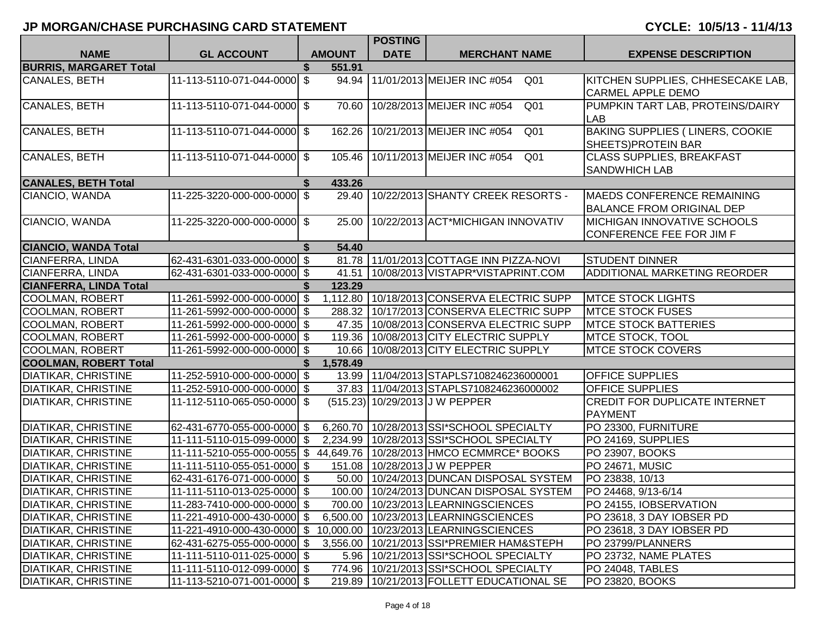|                               |                              |    |               | <b>POSTING</b> |                                                      |                                                                       |
|-------------------------------|------------------------------|----|---------------|----------------|------------------------------------------------------|-----------------------------------------------------------------------|
| <b>NAME</b>                   | <b>GL ACCOUNT</b>            |    | <b>AMOUNT</b> | <b>DATE</b>    | <b>MERCHANT NAME</b>                                 | <b>EXPENSE DESCRIPTION</b>                                            |
| <b>BURRIS, MARGARET Total</b> |                              |    | 551.91        |                |                                                      |                                                                       |
| CANALES, BETH                 | 11-113-5110-071-044-0000 \$  |    | 94.94         |                | 11/01/2013 MEIJER INC #054<br>Q <sub>01</sub>        | KITCHEN SUPPLIES, CHHESECAKE LAB,<br><b>CARMEL APPLE DEMO</b>         |
| <b>CANALES, BETH</b>          | 11-113-5110-071-044-0000 \$  |    | 70.60         |                | 10/28/2013 MEIJER INC #054<br>Q <sub>01</sub>        | PUMPKIN TART LAB, PROTEINS/DAIRY<br><b>LAB</b>                        |
| <b>CANALES, BETH</b>          | 11-113-5110-071-044-0000 \$  |    | 162.26        |                | 10/21/2013 MEIJER INC #054<br>Q <sub>01</sub>        | <b>BAKING SUPPLIES ( LINERS, COOKIE</b><br>SHEETS) PROTEIN BAR        |
| CANALES, BETH                 | 11-113-5110-071-044-0000 \$  |    |               |                | 105.46 10/11/2013 MEIJER INC #054<br>Q <sub>01</sub> | <b>CLASS SUPPLIES, BREAKFAST</b><br><b>SANDWHICH LAB</b>              |
| <b>CANALES, BETH Total</b>    |                              | S. | 433.26        |                |                                                      |                                                                       |
| CIANCIO, WANDA                | 11-225-3220-000-000-0000 \$  |    | 29.40         |                | 10/22/2013 SHANTY CREEK RESORTS -                    | <b>MAEDS CONFERENCE REMAINING</b><br><b>BALANCE FROM ORIGINAL DEP</b> |
| CIANCIO, WANDA                | 11-225-3220-000-000-0000 \$  |    | 25.00         |                | 10/22/2013 ACT*MICHIGAN INNOVATIV                    | <b>MICHIGAN INNOVATIVE SCHOOLS</b><br>CONFERENCE FEE FOR JIM F        |
| <b>CIANCIO, WANDA Total</b>   |                              | \$ | 54.40         |                |                                                      |                                                                       |
| <b>CIANFERRA, LINDA</b>       | 62-431-6301-033-000-0000 \$  |    |               |                | 81.78 11/01/2013 COTTAGE INN PIZZA-NOVI              | <b>STUDENT DINNER</b>                                                 |
| CIANFERRA, LINDA              | 62-431-6301-033-000-0000 \$  |    | 41.51         |                | 10/08/2013 VISTAPR*VISTAPRINT.COM                    | ADDITIONAL MARKETING REORDER                                          |
| <b>CIANFERRA, LINDA Total</b> |                              |    | 123.29        |                |                                                      |                                                                       |
| <b>COOLMAN, ROBERT</b>        | 11-261-5992-000-000-0000 \$  |    |               |                | 1,112.80 10/18/2013 CONSERVA ELECTRIC SUPP           | <b>MTCE STOCK LIGHTS</b>                                              |
| <b>COOLMAN, ROBERT</b>        | 11-261-5992-000-000-0000 \$  |    |               |                | 288.32   10/17/2013 CONSERVA ELECTRIC SUPP           | <b>IMTCE STOCK FUSES</b>                                              |
| COOLMAN, ROBERT               | 11-261-5992-000-000-0000 \$  |    |               |                | 47.35   10/08/2013 CONSERVA ELECTRIC SUPP            | <b>IMTCE STOCK BATTERIES</b>                                          |
| COOLMAN, ROBERT               | 11-261-5992-000-000-0000 \$  |    |               |                | 119.36 10/08/2013 CITY ELECTRIC SUPPLY               | MTCE STOCK, TOOL                                                      |
| COOLMAN, ROBERT               | 11-261-5992-000-000-0000 \$  |    |               |                | 10.66 10/08/2013 CITY ELECTRIC SUPPLY                | <b>IMTCE STOCK COVERS</b>                                             |
| <b>COOLMAN, ROBERT Total</b>  |                              |    | 1,578.49      |                |                                                      |                                                                       |
| <b>DIATIKAR, CHRISTINE</b>    | 11-252-5910-000-000-0000 \$  |    |               |                | 13.99   11/04/2013 STAPLS7108246236000001            | <b>OFFICE SUPPLIES</b>                                                |
| <b>DIATIKAR, CHRISTINE</b>    | 11-252-5910-000-000-0000 \$  |    |               |                | 37.83   11/04/2013 STAPLS7108246236000002            | <b>OFFICE SUPPLIES</b>                                                |
| <b>DIATIKAR, CHRISTINE</b>    | 11-112-5110-065-050-0000 \$  |    |               |                | (515.23) 10/29/2013 J W PEPPER                       | <b>CREDIT FOR DUPLICATE INTERNET</b><br><b>PAYMENT</b>                |
| <b>DIATIKAR, CHRISTINE</b>    | 62-431-6770-055-000-0000 \$  |    |               |                | 6,260.70   10/28/2013   SSI*SCHOOL SPECIALTY         | PO 23300, FURNITURE                                                   |
| <b>DIATIKAR, CHRISTINE</b>    | 11-111-5110-015-099-0000 \$  |    |               |                | 2,234.99   10/28/2013   SSI*SCHOOL SPECIALTY         | PO 24169, SUPPLIES                                                    |
| <b>DIATIKAR, CHRISTINE</b>    | 11-111-5210-055-000-0055 \$  |    |               |                | 44,649.76   10/28/2013   HMCO ECMMRCE* BOOKS         | PO 23907, BOOKS                                                       |
| <b>DIATIKAR, CHRISTINE</b>    | 11-111-5110-055-051-0000 \$  |    |               |                | 151.08   10/28/2013 J W PEPPER                       | PO 24671, MUSIC                                                       |
| <b>DIATIKAR, CHRISTINE</b>    | 62-431-6176-071-000-0000 \$  |    |               |                | 50.00 10/24/2013 DUNCAN DISPOSAL SYSTEM              | PO 23838, 10/13                                                       |
| <b>DIATIKAR, CHRISTINE</b>    | 11-111-5110-013-025-0000 \$  |    |               |                | 100.00   10/24/2013   DUNCAN DISPOSAL SYSTEM         | PO 24468, 9/13-6/14                                                   |
| <b>DIATIKAR, CHRISTINE</b>    | 11-283-7410-000-000-0000  \$ |    |               |                | 700.00 10/23/2013 LEARNINGSCIENCES                   | PO 24155, IOBSERVATION                                                |
| <b>DIATIKAR, CHRISTINE</b>    | 11-221-4910-000-430-0000 \$  |    |               |                | 6,500.00   10/23/2013 LEARNINGSCIENCES               | PO 23618, 3 DAY IOBSER PD                                             |
| <b>DIATIKAR, CHRISTINE</b>    | 11-221-4910-000-430-0000 \$  |    |               |                | 10,000.00   10/23/2013 LEARNINGSCIENCES              | PO 23618, 3 DAY IOBSER PD                                             |
| <b>DIATIKAR, CHRISTINE</b>    | 62-431-6275-055-000-0000 \$  |    | 3,556.00      |                | 10/21/2013 SSI*PREMIER HAM&STEPH                     | PO 23799/PLANNERS                                                     |
| <b>DIATIKAR, CHRISTINE</b>    | 11-111-5110-011-025-0000 \$  |    |               |                | 5.96   10/21/2013 SSI*SCHOOL SPECIALTY               | PO 23732, NAME PLATES                                                 |
| <b>DIATIKAR, CHRISTINE</b>    | 11-111-5110-012-099-0000 \$  |    |               |                | 774.96   10/21/2013   SSI*SCHOOL SPECIALTY           | PO 24048, TABLES                                                      |
| <b>DIATIKAR, CHRISTINE</b>    | 11-113-5210-071-001-0000 \$  |    |               |                | 219.89 10/21/2013 FOLLETT EDUCATIONAL SE             | PO 23820, BOOKS                                                       |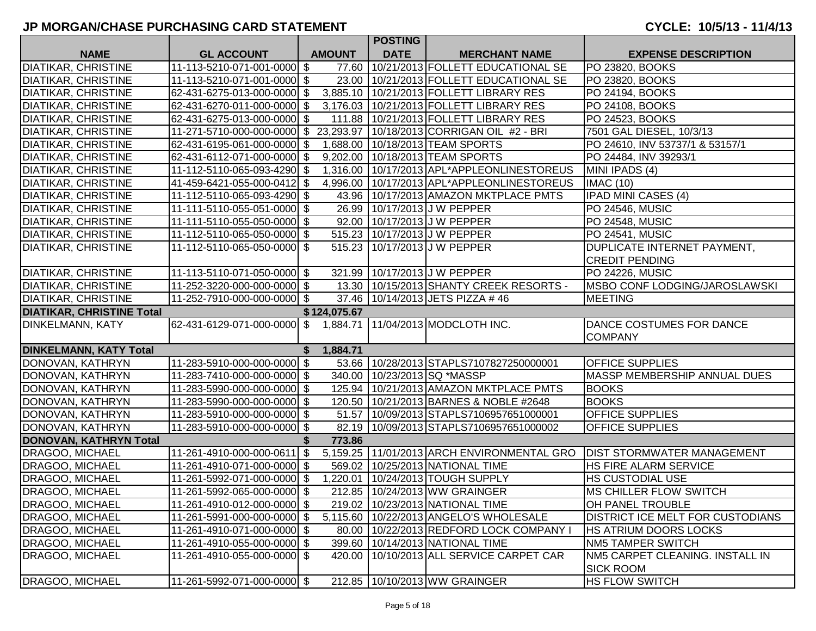|                                  |                                                                        |    |               | <b>POSTING</b> |                                                |                                       |
|----------------------------------|------------------------------------------------------------------------|----|---------------|----------------|------------------------------------------------|---------------------------------------|
| <b>NAME</b>                      | <b>GL ACCOUNT</b>                                                      |    | <b>AMOUNT</b> | <b>DATE</b>    | <b>MERCHANT NAME</b>                           | <b>EXPENSE DESCRIPTION</b>            |
| <b>DIATIKAR, CHRISTINE</b>       | 11-113-5210-071-001-0000 \$                                            |    | 77.60         |                | 10/21/2013 FOLLETT EDUCATIONAL SE              | PO 23820, BOOKS                       |
| <b>DIATIKAR, CHRISTINE</b>       | 11-113-5210-071-001-0000 \$                                            |    |               |                | 23.00   10/21/2013   FOLLETT EDUCATIONAL SE    | PO 23820, BOOKS                       |
| <b>DIATIKAR, CHRISTINE</b>       | 62-431-6275-013-000-0000 \$                                            |    |               |                | 3,885.10 10/21/2013 FOLLETT LIBRARY RES        | PO 24194, BOOKS                       |
| <b>DIATIKAR, CHRISTINE</b>       | 62-431-6270-011-000-0000 \$                                            |    |               |                | 3,176.03   10/21/2013   FOLLETT LIBRARY RES    | PO 24108, BOOKS                       |
| <b>DIATIKAR, CHRISTINE</b>       | 62-431-6275-013-000-0000 \$                                            |    |               |                | 111.88   10/21/2013 FOLLETT LIBRARY RES        | PO 24523, BOOKS                       |
| <b>DIATIKAR, CHRISTINE</b>       | 11-271-5710-000-000-0000 \$ 23,293.97 10/18/2013 CORRIGAN OIL #2 - BRI |    |               |                |                                                | 7501 GAL DIESEL, 10/3/13              |
| <b>DIATIKAR, CHRISTINE</b>       | 62-431-6195-061-000-0000 \$                                            |    |               |                | 1,688.00   10/18/2013   TEAM SPORTS            | PO 24610, INV 53737/1 & 53157/1       |
| <b>DIATIKAR, CHRISTINE</b>       | 62-431-6112-071-000-0000 \$                                            |    |               |                | 9,202.00   10/18/2013   TEAM SPORTS            | PO 24484, INV 39293/1                 |
| <b>DIATIKAR, CHRISTINE</b>       | 11-112-5110-065-093-4290 \$                                            |    |               |                | 1,316.00   10/17/2013   APL*APPLEONLINESTOREUS | MINI IPADS (4)                        |
| <b>DIATIKAR, CHRISTINE</b>       | 41-459-6421-055-000-0412 \$                                            |    |               |                | 4,996.00 10/17/2013 APL*APPLEONLINESTOREUS     | <b>IMAC (10)</b>                      |
| <b>DIATIKAR, CHRISTINE</b>       | 11-112-5110-065-093-4290 \$                                            |    |               |                | 43.96   10/17/2013   AMAZON MKTPLACE PMTS      | <b>IPAD MINI CASES (4)</b>            |
| <b>DIATIKAR, CHRISTINE</b>       | 11-111-5110-055-051-0000 \$                                            |    |               |                | 26.99   10/17/2013 J W PEPPER                  | PO 24546, MUSIC                       |
| <b>DIATIKAR, CHRISTINE</b>       | 11-111-5110-055-050-0000 \$                                            |    |               |                | 92.00   10/17/2013 J W PEPPER                  | <b>PO 24548, MUSIC</b>                |
| <b>DIATIKAR, CHRISTINE</b>       | 11-112-5110-065-050-0000 \$                                            |    |               |                | 515.23   10/17/2013 J W PEPPER                 | <b>PO 24541, MUSIC</b>                |
| <b>DIATIKAR, CHRISTINE</b>       | 11-112-5110-065-050-0000 \$                                            |    |               |                | 515.23 10/17/2013 J W PEPPER                   | DUPLICATE INTERNET PAYMENT,           |
|                                  |                                                                        |    |               |                |                                                | <b>CREDIT PENDING</b>                 |
| <b>DIATIKAR, CHRISTINE</b>       | 11-113-5110-071-050-0000 \$                                            |    |               |                | 321.99   10/17/2013 J W PEPPER                 | <b>PO 24226, MUSIC</b>                |
| <b>DIATIKAR, CHRISTINE</b>       | 11-252-3220-000-000-0000 \$                                            |    |               |                | 13.30   10/15/2013 SHANTY CREEK RESORTS -      | <b>IMSBO CONF LODGING/JAROSLAWSKI</b> |
| <b>DIATIKAR, CHRISTINE</b>       | 11-252-7910-000-000-0000 \$                                            |    |               |                | 37.46   10/14/2013 JETS PIZZA #46              | <b>MEETING</b>                        |
| <b>DIATIKAR, CHRISTINE Total</b> |                                                                        |    | \$124,075.67  |                |                                                |                                       |
| DINKELMANN, KATY                 | 62-431-6129-071-000-0000 \$ 1,884.71   11/04/2013 MODCLOTH INC.        |    |               |                |                                                | DANCE COSTUMES FOR DANCE              |
|                                  |                                                                        |    |               |                |                                                | <b>COMPANY</b>                        |
| <b>DINKELMANN, KATY Total</b>    |                                                                        | S. | 1,884.71      |                |                                                |                                       |
| DONOVAN, KATHRYN                 | 11-283-5910-000-000-0000 \$                                            |    |               |                | 53.66   10/28/2013 STAPLS7107827250000001      | <b>OFFICE SUPPLIES</b>                |
| DONOVAN, KATHRYN                 | 11-283-7410-000-000-0000 \$                                            |    |               |                | 340.00   10/23/2013   SQ *MASSP                | MASSP MEMBERSHIP ANNUAL DUES          |
| DONOVAN, KATHRYN                 | 11-283-5990-000-000-0000 \$                                            |    | 125.94        |                | 10/21/2013 AMAZON MKTPLACE PMTS                | <b>BOOKS</b>                          |
| DONOVAN, KATHRYN                 | 11-283-5990-000-000-0000 \$                                            |    |               |                | 120.50   10/21/2013   BARNES & NOBLE #2648     | <b>BOOKS</b>                          |
| DONOVAN, KATHRYN                 | 11-283-5910-000-000-0000 \$                                            |    |               |                | 51.57   10/09/2013   STAPLS7106957651000001    | <b>OFFICE SUPPLIES</b>                |
| DONOVAN, KATHRYN                 | 11-283-5910-000-000-0000 \$                                            |    |               |                | 82.19   10/09/2013   STAPLS7106957651000002    | <b>OFFICE SUPPLIES</b>                |
| DONOVAN, KATHRYN Total           |                                                                        |    | 773.86        |                |                                                |                                       |
| DRAGOO, MICHAEL                  | 11-261-4910-000-000-0611 \$                                            |    |               |                | 5,159.25 11/01/2013 ARCH ENVIRONMENTAL GRO     | <b>DIST STORMWATER MANAGEMENT</b>     |
| DRAGOO, MICHAEL                  | 11-261-4910-071-000-0000 \$                                            |    |               |                | 569.02   10/25/2013 NATIONAL TIME              | HS FIRE ALARM SERVICE                 |
| DRAGOO, MICHAEL                  | 11-261-5992-071-000-0000 \$                                            |    | 1,220.01      |                | 10/24/2013 TOUGH SUPPLY                        | HS CUSTODIAL USE                      |
| <b>DRAGOO, MICHAEL</b>           | 11-261-5992-065-000-0000 \$                                            |    |               |                | 212.85   10/24/2013 WW GRAINGER                | MS CHILLER FLOW SWITCH                |
| <b>DRAGOO, MICHAEL</b>           | 11-261-4910-012-000-0000 \$                                            |    |               |                | 219.02   10/23/2013 NATIONAL TIME              | OH PANEL TROUBLE                      |
| DRAGOO, MICHAEL                  | 11-261-5991-000-000-0000 \$                                            |    |               |                | 5,115.60   10/22/2013   ANGELO'S WHOLESALE     | DISTRICT ICE MELT FOR CUSTODIANS      |
| <b>DRAGOO, MICHAEL</b>           | 11-261-4910-071-000-0000 \$                                            |    |               |                | 80.00 10/22/2013 REDFORD LOCK COMPANY I        | HS ATRIUM DOORS LOCKS                 |
| <b>DRAGOO, MICHAEL</b>           | 11-261-4910-055-000-0000 \$                                            |    |               |                | 399.60   10/14/2013 NATIONAL TIME              | <b>NM5 TAMPER SWITCH</b>              |
| <b>DRAGOO, MICHAEL</b>           | 11-261-4910-055-000-0000 \$                                            |    |               |                | 420.00   10/10/2013 ALL SERVICE CARPET CAR     | NM5 CARPET CLEANING. INSTALL IN       |
|                                  |                                                                        |    |               |                |                                                | <b>SICK ROOM</b>                      |
| DRAGOO, MICHAEL                  | 11-261-5992-071-000-0000 \$                                            |    |               |                | 212.85 10/10/2013 WW GRAINGER                  | <b>HS FLOW SWITCH</b>                 |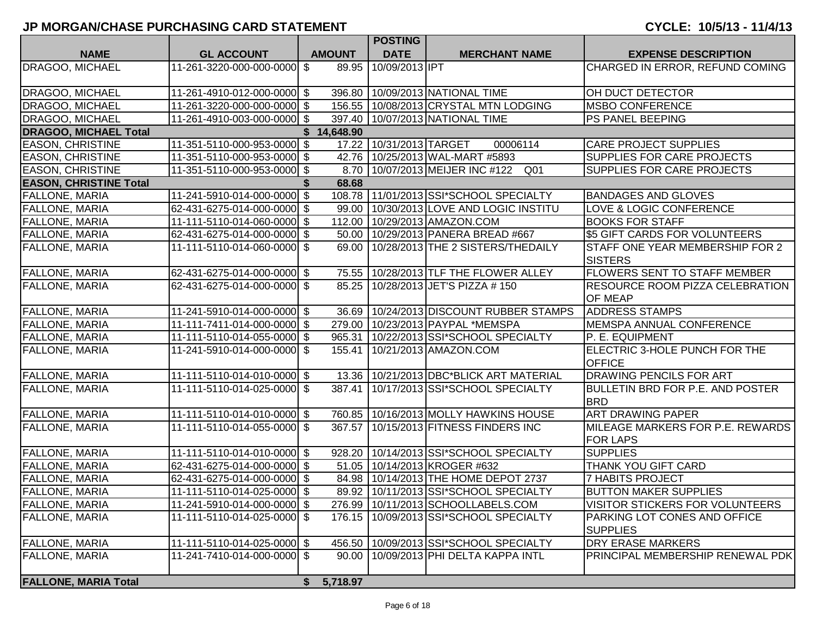|                               |                             |               | <b>POSTING</b>              |                                                        |                                                          |
|-------------------------------|-----------------------------|---------------|-----------------------------|--------------------------------------------------------|----------------------------------------------------------|
| <b>NAME</b>                   | <b>GL ACCOUNT</b>           | <b>AMOUNT</b> | <b>DATE</b>                 | <b>MERCHANT NAME</b>                                   | <b>EXPENSE DESCRIPTION</b>                               |
| <b>DRAGOO, MICHAEL</b>        | 11-261-3220-000-000-0000 \$ | 89.95         | 10/09/2013 IPT              |                                                        | CHARGED IN ERROR, REFUND COMING                          |
| <b>DRAGOO, MICHAEL</b>        | 11-261-4910-012-000-0000 \$ | 396.80        |                             | 10/09/2013 NATIONAL TIME                               | OH DUCT DETECTOR                                         |
| <b>DRAGOO, MICHAEL</b>        | 11-261-3220-000-000-0000 \$ |               |                             | 156.55 10/08/2013 CRYSTAL MTN LODGING                  | <b>MSBO CONFERENCE</b>                                   |
| DRAGOO, MICHAEL               | 11-261-4910-003-000-0000 \$ |               |                             | 397.40   10/07/2013 NATIONAL TIME                      | <b>PS PANEL BEEPING</b>                                  |
| <b>DRAGOO, MICHAEL Total</b>  |                             | \$14,648.90   |                             |                                                        |                                                          |
| <b>EASON, CHRISTINE</b>       | 11-351-5110-000-953-0000 \$ |               | 17.22   10/31/2013   TARGET | 00006114                                               | <b>CARE PROJECT SUPPLIES</b>                             |
| <b>EASON, CHRISTINE</b>       | 11-351-5110-000-953-0000 \$ |               |                             | 42.76   10/25/2013 WAL-MART #5893                      | <b>SUPPLIES FOR CARE PROJECTS</b>                        |
| <b>EASON, CHRISTINE</b>       | 11-351-5110-000-953-0000 \$ |               |                             | 8.70   10/07/2013   MEIJER INC #122<br>Q <sub>01</sub> | <b>SUPPLIES FOR CARE PROJECTS</b>                        |
| <b>EASON, CHRISTINE Total</b> |                             | 68.68         |                             |                                                        |                                                          |
| <b>FALLONE, MARIA</b>         | 11-241-5910-014-000-0000 \$ |               |                             | 108.78 11/01/2013 SI*SCHOOL SPECIALTY                  | <b>BANDAGES AND GLOVES</b>                               |
| <b>FALLONE, MARIA</b>         | 62-431-6275-014-000-0000 \$ | 99.00         |                             | 10/30/2013 LOVE AND LOGIC INSTITU                      | LOVE & LOGIC CONFERENCE                                  |
| <b>FALLONE, MARIA</b>         | 11-111-5110-014-060-0000 \$ | 112.00        |                             | 10/29/2013 AMAZON.COM                                  | <b>BOOKS FOR STAFF</b>                                   |
| <b>FALLONE, MARIA</b>         | 62-431-6275-014-000-0000 \$ | 50.00         |                             | 10/29/2013 PANERA BREAD #667                           | \$5 GIFT CARDS FOR VOLUNTEERS                            |
| FALLONE, MARIA                | 11-111-5110-014-060-0000 \$ | 69.00         |                             | 10/28/2013 THE 2 SISTERS/THEDAILY                      | STAFF ONE YEAR MEMBERSHIP FOR 2<br><b>SISTERS</b>        |
| <b>FALLONE, MARIA</b>         | 62-431-6275-014-000-0000 \$ |               |                             | 75.55   10/28/2013 TLF THE FLOWER ALLEY                | <b>FLOWERS SENT TO STAFF MEMBER</b>                      |
| <b>FALLONE, MARIA</b>         | 62-431-6275-014-000-0000 \$ | 85.25         |                             | 10/28/2013 JET'S PIZZA # 150                           | <b>RESOURCE ROOM PIZZA CELEBRATION</b><br><b>OF MEAP</b> |
| <b>FALLONE, MARIA</b>         | 11-241-5910-014-000-0000 \$ |               |                             | 36.69   10/24/2013   DISCOUNT RUBBER STAMPS            | <b>ADDRESS STAMPS</b>                                    |
| <b>FALLONE, MARIA</b>         | 11-111-7411-014-000-0000 \$ |               |                             | 279.00   10/23/2013   PAYPAL *MEMSPA                   | <b>MEMSPA ANNUAL CONFERENCE</b>                          |
| <b>FALLONE, MARIA</b>         | 11-111-5110-014-055-0000 \$ | 965.31        |                             | 10/22/2013 SSI*SCHOOL SPECIALTY                        | P. E. EQUIPMENT                                          |
| <b>FALLONE, MARIA</b>         | 11-241-5910-014-000-0000 \$ |               |                             | 155.41   10/21/2013   AMAZON.COM                       | ELECTRIC 3-HOLE PUNCH FOR THE<br><b>OFFICE</b>           |
| <b>FALLONE, MARIA</b>         | 11-111-5110-014-010-0000 \$ |               |                             | 13.36   10/21/2013 DBC*BLICK ART MATERIAL              | <b>DRAWING PENCILS FOR ART</b>                           |
| <b>FALLONE, MARIA</b>         | 11-111-5110-014-025-0000 \$ | 387.41        |                             | 10/17/2013 SSI*SCHOOL SPECIALTY                        | BULLETIN BRD FOR P.E. AND POSTER<br><b>BRD</b>           |
| <b>FALLONE, MARIA</b>         | 11-111-5110-014-010-0000 \$ |               |                             | 760.85   10/16/2013 MOLLY HAWKINS HOUSE                | <b>ART DRAWING PAPER</b>                                 |
| <b>FALLONE, MARIA</b>         | 11-111-5110-014-055-0000 \$ | 367.57        |                             | 10/15/2013 FITNESS FINDERS INC                         | MILEAGE MARKERS FOR P.E. REWARDS<br><b>FOR LAPS</b>      |
| <b>FALLONE, MARIA</b>         | 11-111-5110-014-010-0000 \$ | 928.20        |                             | 10/14/2013 SSI*SCHOOL SPECIALTY                        | <b>SUPPLIES</b>                                          |
| <b>FALLONE, MARIA</b>         | 62-431-6275-014-000-0000 \$ |               |                             | 51.05   10/14/2013 KROGER #632                         | THANK YOU GIFT CARD                                      |
| <b>FALLONE, MARIA</b>         | 62-431-6275-014-000-0000 \$ |               |                             | 84.98   10/14/2013 THE HOME DEPOT 2737                 | <b>7 HABITS PROJECT</b>                                  |
| <b>FALLONE, MARIA</b>         | 11-111-5110-014-025-0000 \$ |               |                             | 89.92   10/11/2013   SSI*SCHOOL SPECIALTY              | <b>BUTTON MAKER SUPPLIES</b>                             |
| <b>FALLONE, MARIA</b>         | 11-241-5910-014-000-0000 \$ |               |                             | 276.99 10/11/2013 SCHOOLLABELS.COM                     | <b>VISITOR STICKERS FOR VOLUNTEERS</b>                   |
| <b>FALLONE, MARIA</b>         | 11-111-5110-014-025-0000 \$ |               |                             | 176.15   10/09/2013   SSI*SCHOOL SPECIALTY             | PARKING LOT CONES AND OFFICE<br><b>SUPPLIES</b>          |
| <b>FALLONE, MARIA</b>         | 11-111-5110-014-025-0000 \$ | 456.50        |                             | 10/09/2013 SSI*SCHOOL SPECIALTY                        | <b>DRY ERASE MARKERS</b>                                 |
| <b>FALLONE, MARIA</b>         | 11-241-7410-014-000-0000 \$ | 90.00         |                             | 10/09/2013 PHI DELTA KAPPA INTL                        | PRINCIPAL MEMBERSHIP RENEWAL PDK                         |
| <b>FALLONE, MARIA Total</b>   |                             | \$5,718.97    |                             |                                                        |                                                          |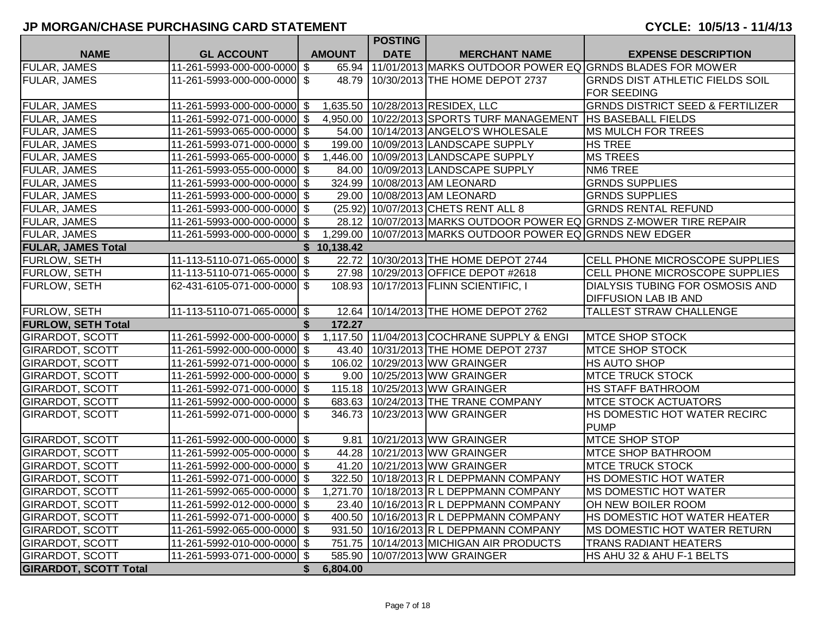# **JP MORGAN/CHASE PURCHASING CARD STATEMENT CYCLE: 10/5/13 - 11/4/13**

|                              |                             |                | <b>POSTING</b> |                                                                   |                                                                   |
|------------------------------|-----------------------------|----------------|----------------|-------------------------------------------------------------------|-------------------------------------------------------------------|
| <b>NAME</b>                  | <b>GL ACCOUNT</b>           | <b>AMOUNT</b>  | <b>DATE</b>    | <b>MERCHANT NAME</b>                                              | <b>EXPENSE DESCRIPTION</b>                                        |
| <b>FULAR, JAMES</b>          | 11-261-5993-000-000-0000 \$ |                |                | 65.94 11/01/2013 MARKS OUTDOOR POWER EQ GRNDS BLADES FOR MOWER    |                                                                   |
| <b>FULAR, JAMES</b>          | 11-261-5993-000-000-0000 \$ |                |                | 48.79 10/30/2013 THE HOME DEPOT 2737                              | <b>GRNDS DIST ATHLETIC FIELDS SOIL</b>                            |
|                              |                             |                |                |                                                                   | <b>FOR SEEDING</b>                                                |
| <b>FULAR, JAMES</b>          | 11-261-5993-000-000-0000 \$ |                |                | 1,635.50 10/28/2013 RESIDEX, LLC                                  | <b>GRNDS DISTRICT SEED &amp; FERTILIZER</b>                       |
| <b>FULAR, JAMES</b>          | 11-261-5992-071-000-0000 \$ |                |                | 4,950.00   10/22/2013 SPORTS TURF MANAGEMENT   HS BASEBALL FIELDS |                                                                   |
| FULAR, JAMES                 | 11-261-5993-065-000-0000 \$ |                |                | 54.00   10/14/2013   ANGELO'S WHOLESALE                           | <b>MS MULCH FOR TREES</b>                                         |
| FULAR, JAMES                 | 11-261-5993-071-000-0000 \$ |                |                | 199.00 10/09/2013 LANDSCAPE SUPPLY                                | <b>HS TREE</b>                                                    |
| <b>FULAR, JAMES</b>          | 11-261-5993-065-000-0000 \$ |                |                | 1,446.00 10/09/2013 LANDSCAPE SUPPLY                              | <b>MS TREES</b>                                                   |
| FULAR, JAMES                 | 11-261-5993-055-000-0000 \$ |                |                | 84.00 10/09/2013 LANDSCAPE SUPPLY                                 | NM6 TREE                                                          |
| FULAR, JAMES                 | 11-261-5993-000-000-0000 \$ |                |                | 324.99 10/08/2013 AM LEONARD                                      | <b>GRNDS SUPPLIES</b>                                             |
| FULAR, JAMES                 | 11-261-5993-000-000-0000 \$ |                |                | 29.00   10/08/2013 AM LEONARD                                     | <b>GRNDS SUPPLIES</b>                                             |
| FULAR, JAMES                 | 11-261-5993-000-000-0000 \$ |                |                | (25.92) 10/07/2013 CHETS RENT ALL 8                               | <b>GRNDS RENTAL REFUND</b>                                        |
| <b>FULAR, JAMES</b>          | 11-261-5993-000-000-0000 \$ |                |                |                                                                   | 28.12 10/07/2013 MARKS OUTDOOR POWER EQ GRNDS Z-MOWER TIRE REPAIR |
| <b>FULAR, JAMES</b>          | 11-261-5993-000-000-0000 \$ |                |                | 1,299.00 10/07/2013 MARKS OUTDOOR POWER EQ GRNDS NEW EDGER        |                                                                   |
| <b>FULAR, JAMES Total</b>    |                             | \$10,138.42    |                |                                                                   |                                                                   |
| FURLOW, SETH                 | 11-113-5110-071-065-0000 \$ |                |                | 22.72   10/30/2013 THE HOME DEPOT 2744                            | <b>CELL PHONE MICROSCOPE SUPPLIES</b>                             |
| FURLOW, SETH                 | 11-113-5110-071-065-0000 \$ |                |                | 27.98 10/29/2013 OFFICE DEPOT #2618                               | CELL PHONE MICROSCOPE SUPPLIES                                    |
| <b>FURLOW, SETH</b>          | 62-431-6105-071-000-0000 \$ |                |                | 108.93 10/17/2013 FLINN SCIENTIFIC, I                             | <b>DIALYSIS TUBING FOR OSMOSIS AND</b>                            |
|                              |                             |                |                |                                                                   | <b>DIFFUSION LAB IB AND</b>                                       |
| <b>FURLOW, SETH</b>          | 11-113-5110-071-065-0000 \$ |                |                | 12.64 10/14/2013 THE HOME DEPOT 2762                              | <b>TALLEST STRAW CHALLENGE</b>                                    |
| <b>FURLOW, SETH Total</b>    |                             | 172.27         |                |                                                                   |                                                                   |
| <b>GIRARDOT, SCOTT</b>       | 11-261-5992-000-000-0000 \$ |                |                | 1,117.50 11/04/2013 COCHRANE SUPPLY & ENGI                        | <b>MTCE SHOP STOCK</b>                                            |
| <b>GIRARDOT, SCOTT</b>       | 11-261-5992-000-000-0000 \$ |                |                | 43.40   10/31/2013 THE HOME DEPOT 2737                            | <b>MTCE SHOP STOCK</b>                                            |
| <b>GIRARDOT, SCOTT</b>       | 11-261-5992-071-000-0000 \$ |                |                | 106.02 10/29/2013 WW GRAINGER                                     | <b>HS AUTO SHOP</b>                                               |
| <b>GIRARDOT, SCOTT</b>       | 11-261-5992-000-000-0000 \$ |                |                | 9.00 10/25/2013 WW GRAINGER                                       | <b>MTCE TRUCK STOCK</b>                                           |
| <b>GIRARDOT, SCOTT</b>       | 11-261-5992-071-000-0000 \$ |                |                | 115.18 10/25/2013 WW GRAINGER                                     | <b>HS STAFF BATHROOM</b>                                          |
| <b>GIRARDOT, SCOTT</b>       | 11-261-5992-000-000-0000 \$ |                |                | 683.63   10/24/2013 THE TRANE COMPANY                             | <b>MTCE STOCK ACTUATORS</b>                                       |
| <b>GIRARDOT, SCOTT</b>       | 11-261-5992-071-000-0000 \$ |                |                | 346.73 10/23/2013 WW GRAINGER                                     | HS DOMESTIC HOT WATER RECIRC                                      |
|                              |                             |                |                |                                                                   | <b>PUMP</b>                                                       |
| <b>GIRARDOT, SCOTT</b>       | 11-261-5992-000-000-0000 \$ |                |                | 9.81 10/21/2013 WW GRAINGER                                       | <b>MTCE SHOP STOP</b>                                             |
| <b>GIRARDOT, SCOTT</b>       | 11-261-5992-005-000-0000 \$ |                |                | 44.28 10/21/2013 WW GRAINGER                                      | <b>MTCE SHOP BATHROOM</b>                                         |
| <b>GIRARDOT, SCOTT</b>       | 11-261-5992-000-000-0000 \$ |                |                | 41.20 10/21/2013 WW GRAINGER                                      | <b>MTCE TRUCK STOCK</b>                                           |
| <b>GIRARDOT, SCOTT</b>       | 11-261-5992-071-000-0000 \$ |                |                | 322.50 10/18/2013 R L DEPPMANN COMPANY                            | <b>HS DOMESTIC HOT WATER</b>                                      |
| <b>GIRARDOT, SCOTT</b>       | 11-261-5992-065-000-0000 \$ |                |                | 1,271.70 10/18/2013 R L DEPPMANN COMPANY                          | <b>MS DOMESTIC HOT WATER</b>                                      |
| <b>GIRARDOT, SCOTT</b>       | 11-261-5992-012-000-0000 \$ |                |                | 23.40   10/16/2013 R L DEPPMANN COMPANY                           | OH NEW BOILER ROOM                                                |
| <b>GIRARDOT, SCOTT</b>       | 11-261-5992-071-000-0000 \$ |                |                | 400.50 10/16/2013 R L DEPPMANN COMPANY                            | HS DOMESTIC HOT WATER HEATER                                      |
| <b>GIRARDOT, SCOTT</b>       | 11-261-5992-065-000-0000 \$ |                |                | 931.50 10/16/2013 R L DEPPMANN COMPANY                            | <b>MS DOMESTIC HOT WATER RETURN</b>                               |
| <b>GIRARDOT, SCOTT</b>       | 11-261-5992-010-000-0000 \$ |                |                | 751.75   10/14/2013 MICHIGAN AIR PRODUCTS                         | <b>TRANS RADIANT HEATERS</b>                                      |
| <b>GIRARDOT, SCOTT</b>       | 11-261-5993-071-000-0000 \$ |                |                | 585.90 10/07/2013 WW GRAINGER                                     | IHS AHU 32 & AHU F-1 BELTS                                        |
| <b>GIRARDOT, SCOTT Total</b> |                             | \$<br>6,804.00 |                |                                                                   |                                                                   |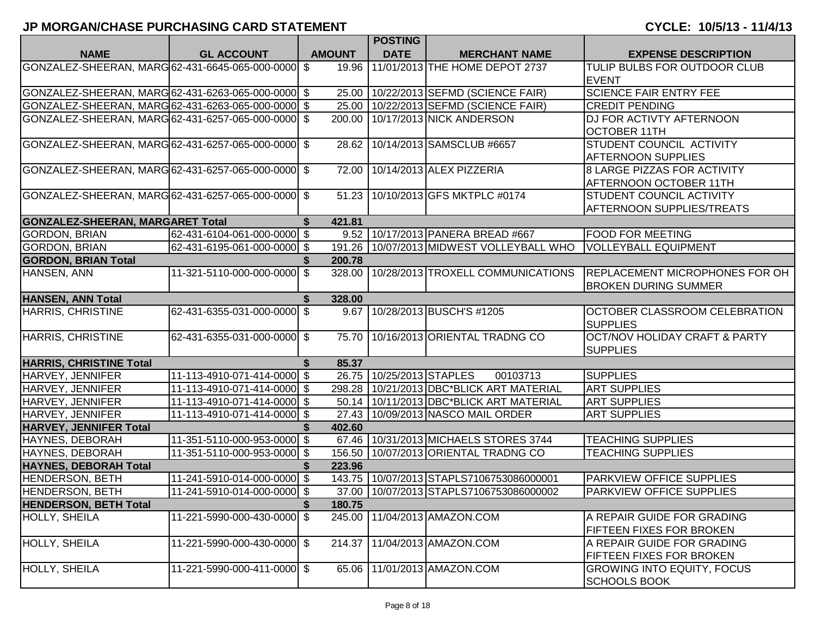|                                                    |                             |          |               | <b>POSTING</b>           |                                            |                                                                      |
|----------------------------------------------------|-----------------------------|----------|---------------|--------------------------|--------------------------------------------|----------------------------------------------------------------------|
| <b>NAME</b>                                        | <b>GL ACCOUNT</b>           |          | <b>AMOUNT</b> | <b>DATE</b>              | <b>MERCHANT NAME</b>                       | <b>EXPENSE DESCRIPTION</b>                                           |
| GONZALEZ-SHEERAN, MARG 62-431-6645-065-000-0000 \$ |                             |          | 19.96         |                          | 11/01/2013 THE HOME DEPOT 2737             | TULIP BULBS FOR OUTDOOR CLUB<br><b>EVENT</b>                         |
| GONZALEZ-SHEERAN, MARG 62-431-6263-065-000-0000 \$ |                             |          |               |                          | 25.00 10/22/2013 SEFMD (SCIENCE FAIR)      | <b>SCIENCE FAIR ENTRY FEE</b>                                        |
| GONZALEZ-SHEERAN, MARG 62-431-6263-065-000-0000 \$ |                             |          |               |                          | 25.00   10/22/2013 SEFMD (SCIENCE FAIR)    | <b>CREDIT PENDING</b>                                                |
| GONZALEZ-SHEERAN, MARG 62-431-6257-065-000-0000 \$ |                             |          |               |                          | 200.00   10/17/2013 NICK ANDERSON          | DJ FOR ACTIVTY AFTERNOON                                             |
|                                                    |                             |          |               |                          |                                            | <b>OCTOBER 11TH</b>                                                  |
| GONZALEZ-SHEERAN, MARG 62-431-6257-065-000-0000 \$ |                             |          |               |                          | 28.62   10/14/2013 SAMSCLUB #6657          | STUDENT COUNCIL ACTIVITY                                             |
|                                                    |                             |          |               |                          |                                            | <b>AFTERNOON SUPPLIES</b>                                            |
| GONZALEZ-SHEERAN, MARG 62-431-6257-065-000-0000 \$ |                             |          |               |                          | 72.00   10/14/2013 ALEX PIZZERIA           | <b>8 LARGE PIZZAS FOR ACTIVITY</b>                                   |
|                                                    |                             |          |               |                          |                                            | AFTERNOON OCTOBER 11TH                                               |
| GONZALEZ-SHEERAN, MARG 62-431-6257-065-000-0000 \$ |                             |          |               |                          | 51.23 10/10/2013 GFS MKTPLC #0174          | <b>STUDENT COUNCIL ACTIVITY</b>                                      |
|                                                    |                             |          |               |                          |                                            | <b>AFTERNOON SUPPLIES/TREATS</b>                                     |
| <b>GONZALEZ-SHEERAN, MARGARET Total</b>            |                             | \$       | 421.81        |                          |                                            |                                                                      |
| <b>GORDON, BRIAN</b>                               | 62-431-6104-061-000-0000 \$ |          |               |                          | 9.52 10/17/2013 PANERA BREAD #667          | <b>FOOD FOR MEETING</b>                                              |
| <b>GORDON, BRIAN</b>                               | 62-431-6195-061-000-0000 \$ |          |               |                          | 191.26 10/07/2013 MIDWEST VOLLEYBALL WHO   | <b>VOLLEYBALL EQUIPMENT</b>                                          |
| <b>GORDON, BRIAN Total</b>                         |                             |          | 200.78        |                          |                                            |                                                                      |
| HANSEN, ANN                                        | 11-321-5110-000-000-0000 \$ |          | 328.00        |                          | 10/28/2013 TROXELL COMMUNICATIONS          | <b>REPLACEMENT MICROPHONES FOR OH</b><br><b>BROKEN DURING SUMMER</b> |
| <b>HANSEN, ANN Total</b>                           |                             | S.       | 328.00        |                          |                                            |                                                                      |
| HARRIS, CHRISTINE                                  | 62-431-6355-031-000-0000 \$ |          |               |                          | 9.67 10/28/2013 BUSCH'S #1205              | OCTOBER CLASSROOM CELEBRATION<br><b>SUPPLIES</b>                     |
| HARRIS, CHRISTINE                                  | 62-431-6355-031-000-0000 \$ |          |               |                          | 75.70 10/16/2013 ORIENTAL TRADNG CO        | <b>OCT/NOV HOLIDAY CRAFT &amp; PARTY</b><br><b>SUPPLIES</b>          |
| <b>HARRIS, CHRISTINE Total</b>                     |                             | \$       | 85.37         |                          |                                            |                                                                      |
| <b>HARVEY, JENNIFER</b>                            | 11-113-4910-071-414-0000 \$ |          |               | 26.75 10/25/2013 STAPLES | 00103713                                   | <b>SUPPLIES</b>                                                      |
| HARVEY, JENNIFER                                   | 11-113-4910-071-414-0000 \$ |          |               |                          | 298.28   10/21/2013 DBC*BLICK ART MATERIAL | <b>ART SUPPLIES</b>                                                  |
| HARVEY, JENNIFER                                   | 11-113-4910-071-414-0000 \$ |          |               |                          | 50.14   10/11/2013 DBC*BLICK ART MATERIAL  | <b>ART SUPPLIES</b>                                                  |
| HARVEY, JENNIFER                                   | 11-113-4910-071-414-0000 \$ |          |               |                          | 27.43   10/09/2013 NASCO MAIL ORDER        | <b>ART SUPPLIES</b>                                                  |
| <b>HARVEY, JENNIFER Total</b>                      |                             |          | 402.60        |                          |                                            |                                                                      |
| HAYNES, DEBORAH                                    | 11-351-5110-000-953-0000 \$ |          |               |                          | 67.46   10/31/2013 MICHAELS STORES 3744    | <b>TEACHING SUPPLIES</b>                                             |
| HAYNES, DEBORAH                                    | 11-351-5110-000-953-0000 \$ |          |               |                          | 156.50 10/07/2013 ORIENTAL TRADNG CO       | <b>TEACHING SUPPLIES</b>                                             |
| <b>HAYNES, DEBORAH Total</b>                       |                             |          | 223.96        |                          |                                            |                                                                      |
| <b>HENDERSON, BETH</b>                             | 11-241-5910-014-000-0000 \$ |          |               |                          | 143.75   10/07/2013 STAPLS7106753086000001 | <b>PARKVIEW OFFICE SUPPLIES</b>                                      |
| <b>HENDERSON, BETH</b>                             | 11-241-5910-014-000-0000 \$ |          |               |                          | 37.00   10/07/2013 STAPLS7106753086000002  | <b>PARKVIEW OFFICE SUPPLIES</b>                                      |
| <b>HENDERSON, BETH Total</b>                       |                             | <b>S</b> | 180.75        |                          |                                            |                                                                      |
| <b>HOLLY, SHEILA</b>                               | 11-221-5990-000-430-0000 \$ |          | 245.00        |                          | 11/04/2013 AMAZON.COM                      | A REPAIR GUIDE FOR GRADING                                           |
|                                                    |                             |          |               |                          |                                            | <b>FIFTEEN FIXES FOR BROKEN</b>                                      |
| HOLLY, SHEILA                                      | 11-221-5990-000-430-0000 \$ |          | 214.37        |                          | 11/04/2013 AMAZON.COM                      | A REPAIR GUIDE FOR GRADING                                           |
|                                                    |                             |          |               |                          |                                            | FIFTEEN FIXES FOR BROKEN                                             |
| HOLLY, SHEILA                                      | 11-221-5990-000-411-0000 \$ |          | 65.06         |                          | 11/01/2013 AMAZON.COM                      | <b>GROWING INTO EQUITY, FOCUS</b>                                    |
|                                                    |                             |          |               |                          |                                            | <b>SCHOOLS BOOK</b>                                                  |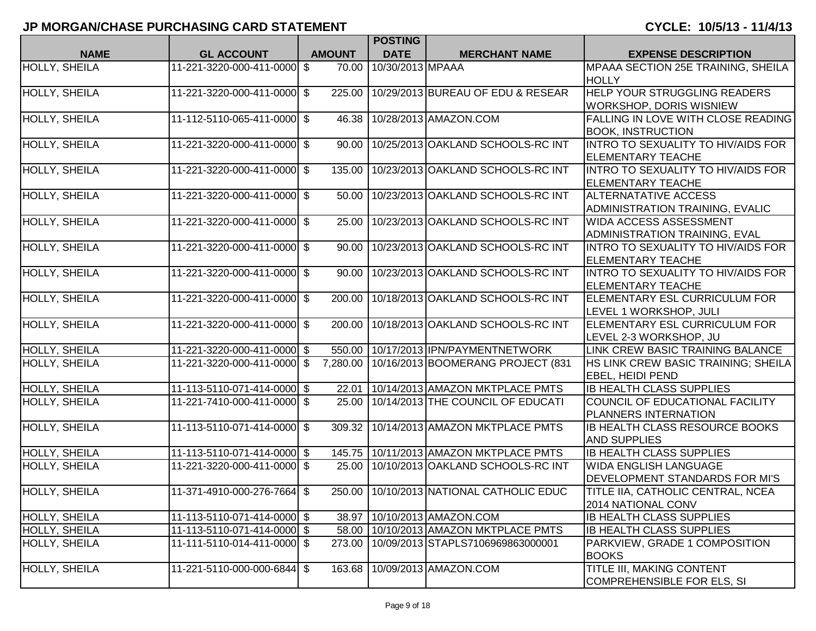|                      |                             |               | <b>POSTING</b>   |                                            |                                           |
|----------------------|-----------------------------|---------------|------------------|--------------------------------------------|-------------------------------------------|
| <b>NAME</b>          | <b>GL ACCOUNT</b>           | <b>AMOUNT</b> | <b>DATE</b>      | <b>MERCHANT NAME</b>                       | <b>EXPENSE DESCRIPTION</b>                |
| <b>HOLLY, SHEILA</b> | 11-221-3220-000-411-0000 \$ | 70.00         | 10/30/2013 MPAAA |                                            | MPAAA SECTION 25E TRAINING, SHEILA        |
|                      |                             |               |                  |                                            | <b>HOLLY</b>                              |
| <b>HOLLY, SHEILA</b> | 11-221-3220-000-411-0000 \$ | 225.00        |                  | 10/29/2013 BUREAU OF EDU & RESEAR          | HELP YOUR STRUGGLING READERS              |
|                      |                             |               |                  |                                            | <b>WORKSHOP, DORIS WISNIEW</b>            |
| HOLLY, SHEILA        | 11-112-5110-065-411-0000 \$ | 46.38         |                  | 10/28/2013 AMAZON.COM                      | FALLING IN LOVE WITH CLOSE READING        |
|                      |                             |               |                  |                                            | <b>BOOK, INSTRUCTION</b>                  |
| <b>HOLLY, SHEILA</b> | 11-221-3220-000-411-0000 \$ | 90.00         |                  | 10/25/2013 OAKLAND SCHOOLS-RC INT          | INTRO TO SEXUALITY TO HIV/AIDS FOR        |
|                      |                             |               |                  |                                            | <b>ELEMENTARY TEACHE</b>                  |
| <b>HOLLY, SHEILA</b> | 11-221-3220-000-411-0000 \$ | 135.00        |                  | 10/23/2013 OAKLAND SCHOOLS-RC INT          | INTRO TO SEXUALITY TO HIV/AIDS FOR        |
|                      |                             |               |                  |                                            | <b>ELEMENTARY TEACHE</b>                  |
| <b>HOLLY, SHEILA</b> | 11-221-3220-000-411-0000 \$ | 50.00         |                  | 10/23/2013 OAKLAND SCHOOLS-RC INT          | <b>ALTERNATATIVE ACCESS</b>               |
|                      |                             |               |                  |                                            | ADMINISTRATION TRAINING, EVALIC           |
| HOLLY, SHEILA        | 11-221-3220-000-411-0000 \$ | 25.00         |                  | 10/23/2013 OAKLAND SCHOOLS-RC INT          | <b>WIDA ACCESS ASSESSMENT</b>             |
|                      |                             |               |                  |                                            | ADMINISTRATION TRAINING, EVAL             |
| <b>HOLLY, SHEILA</b> | 11-221-3220-000-411-0000 \$ | 90.00         |                  | 10/23/2013 OAKLAND SCHOOLS-RC INT          | INTRO TO SEXUALITY TO HIV/AIDS FOR        |
|                      |                             |               |                  |                                            | <b>ELEMENTARY TEACHE</b>                  |
| <b>HOLLY, SHEILA</b> | 11-221-3220-000-411-0000 \$ | 90.00         |                  | 10/23/2013 OAKLAND SCHOOLS-RC INT          | <b>INTRO TO SEXUALITY TO HIV/AIDS FOR</b> |
|                      |                             |               |                  |                                            | <b>ELEMENTARY TEACHE</b>                  |
| HOLLY, SHEILA        | 11-221-3220-000-411-0000 \$ | 200.00        |                  | 10/18/2013 OAKLAND SCHOOLS-RC INT          | ELEMENTARY ESL CURRICULUM FOR             |
|                      |                             |               |                  |                                            | LEVEL 1 WORKSHOP, JULI                    |
| <b>HOLLY, SHEILA</b> | 11-221-3220-000-411-0000 \$ | 200.00        |                  | 10/18/2013 OAKLAND SCHOOLS-RC INT          | ELEMENTARY ESL CURRICULUM FOR             |
|                      |                             |               |                  |                                            | LEVEL 2-3 WORKSHOP, JU                    |
| HOLLY, SHEILA        | 11-221-3220-000-411-0000 \$ | 550.00        |                  | 10/17/2013 IPN/PAYMENTNETWORK              | LINK CREW BASIC TRAINING BALANCE          |
| <b>HOLLY, SHEILA</b> | 11-221-3220-000-411-0000 \$ | 7,280.00      |                  | 10/16/2013 BOOMERANG PROJECT (831          | HS LINK CREW BASIC TRAINING; SHEILA       |
|                      |                             |               |                  |                                            | <b>EBEL, HEIDI PEND</b>                   |
| HOLLY, SHEILA        | 11-113-5110-071-414-0000 \$ | 22.01         |                  | 10/14/2013 AMAZON MKTPLACE PMTS            | <b>IB HEALTH CLASS SUPPLIES</b>           |
| HOLLY, SHEILA        | 11-221-7410-000-411-0000 \$ | 25.00         |                  | 10/14/2013 THE COUNCIL OF EDUCATI          | COUNCIL OF EDUCATIONAL FACILITY           |
|                      |                             |               |                  |                                            | PLANNERS INTERNATION                      |
| HOLLY, SHEILA        | 11-113-5110-071-414-0000 \$ | 309.32        |                  | 10/14/2013 AMAZON MKTPLACE PMTS            | <b>IB HEALTH CLASS RESOURCE BOOKS</b>     |
|                      |                             |               |                  |                                            | <b>AND SUPPLIES</b>                       |
| HOLLY, SHEILA        | 11-113-5110-071-414-0000 \$ | 145.75        |                  | 10/11/2013 AMAZON MKTPLACE PMTS            | <b>IB HEALTH CLASS SUPPLIES</b>           |
| HOLLY, SHEILA        | 11-221-3220-000-411-0000 \$ | 25.00         |                  | 10/10/2013 OAKLAND SCHOOLS-RC INT          | <b>WIDA ENGLISH LANGUAGE</b>              |
|                      |                             |               |                  |                                            | DEVELOPMENT STANDARDS FOR MI'S            |
| <b>HOLLY, SHEILA</b> | 11-371-4910-000-276-7664 \$ |               |                  | 250.00   10/10/2013 NATIONAL CATHOLIC EDUC | TITLE IIA, CATHOLIC CENTRAL, NCEA         |
|                      |                             |               |                  |                                            | 2014 NATIONAL CONV                        |
| <b>HOLLY, SHEILA</b> | 11-113-5110-071-414-0000 \$ | 38.97         |                  | 10/10/2013 AMAZON.COM                      | <b>IB HEALTH CLASS SUPPLIES</b>           |
| HOLLY, SHEILA        | 11-113-5110-071-414-0000 \$ | 58.00         |                  | 10/10/2013 AMAZON MKTPLACE PMTS            | <b>IB HEALTH CLASS SUPPLIES</b>           |
| HOLLY, SHEILA        | 11-111-5110-014-411-0000 \$ | 273.00        |                  | 10/09/2013 STAPLS7106969863000001          | PARKVIEW, GRADE 1 COMPOSITION             |
|                      |                             |               |                  |                                            | <b>BOOKS</b>                              |
| <b>HOLLY, SHEILA</b> | 11-221-5110-000-000-6844 \$ | 163.68        |                  | 10/09/2013 AMAZON.COM                      | TITLE III, MAKING CONTENT                 |
|                      |                             |               |                  |                                            | COMPREHENSIBLE FOR ELS, SI                |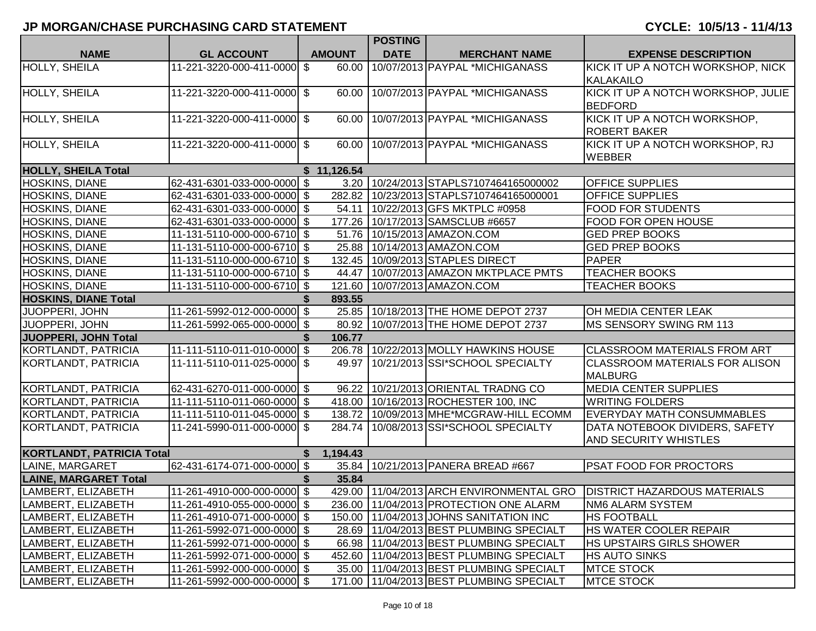|                                  |                              |               | <b>POSTING</b> |                                              |                                                                           |
|----------------------------------|------------------------------|---------------|----------------|----------------------------------------------|---------------------------------------------------------------------------|
| <b>NAME</b>                      | <b>GL ACCOUNT</b>            | <b>AMOUNT</b> | <b>DATE</b>    | <b>MERCHANT NAME</b>                         | <b>EXPENSE DESCRIPTION</b>                                                |
| HOLLY, SHEILA                    | 11-221-3220-000-411-0000 \$  | 60.00         |                | 10/07/2013 PAYPAL *MICHIGANASS               | KICK IT UP A NOTCH WORKSHOP, NICK<br><b>KALAKAILO</b>                     |
| <b>HOLLY, SHEILA</b>             | 11-221-3220-000-411-0000 \$  |               |                | 60.00 10/07/2013 PAYPAL *MICHIGANASS         | KICK IT UP A NOTCH WORKSHOP, JULIE<br><b>BEDFORD</b>                      |
| HOLLY, SHEILA                    | 11-221-3220-000-411-0000 \$  | 60.00         |                | 10/07/2013 PAYPAL *MICHIGANASS               | KICK IT UP A NOTCH WORKSHOP,<br><b>ROBERT BAKER</b>                       |
| HOLLY, SHEILA                    | 11-221-3220-000-411-0000 \$  |               |                | 60.00   10/07/2013   PAYPAL * MICHIGANASS    | KICK IT UP A NOTCH WORKSHOP, RJ<br><b>WEBBER</b>                          |
| <b>HOLLY, SHEILA Total</b>       |                              | \$11,126.54   |                |                                              |                                                                           |
| <b>HOSKINS, DIANE</b>            | 62-431-6301-033-000-0000 \$  | 3.20          |                | 10/24/2013 STAPLS7107464165000002            | <b>OFFICE SUPPLIES</b>                                                    |
| HOSKINS, DIANE                   | 62-431-6301-033-000-0000 \$  |               |                | 282.82   10/23/2013   STAPLS7107464165000001 | <b>OFFICE SUPPLIES</b>                                                    |
| HOSKINS, DIANE                   | 62-431-6301-033-000-0000 \$  |               |                | 54.11   10/22/2013 GFS MKTPLC #0958          | <b>FOOD FOR STUDENTS</b>                                                  |
| HOSKINS, DIANE                   | 62-431-6301-033-000-0000 \$  |               |                | 177.26 10/17/2013 SAMSCLUB #6657             | <b>FOOD FOR OPEN HOUSE</b>                                                |
| HOSKINS, DIANE                   | 11-131-5110-000-000-6710 \$  |               |                | 51.76   10/15/2013   AMAZON.COM              | <b>GED PREP BOOKS</b>                                                     |
| HOSKINS, DIANE                   | 11-131-5110-000-000-6710 \$  |               |                | 25.88   10/14/2013   AMAZON.COM              | <b>GED PREP BOOKS</b>                                                     |
| HOSKINS, DIANE                   | 11-131-5110-000-000-6710 \$  |               |                | 132.45   10/09/2013 STAPLES DIRECT           | <b>PAPER</b>                                                              |
| <b>HOSKINS, DIANE</b>            | 11-131-5110-000-000-6710 \$  | 44.47         |                | 10/07/2013 AMAZON MKTPLACE PMTS              | <b>TEACHER BOOKS</b>                                                      |
| HOSKINS, DIANE                   | 11-131-5110-000-000-6710 \$  | 121.60        |                | 10/07/2013 AMAZON.COM                        | <b>TEACHER BOOKS</b>                                                      |
| <b>HOSKINS, DIANE Total</b>      |                              | 893.55        |                |                                              |                                                                           |
| JUOPPERI, JOHN                   | 11-261-5992-012-000-0000 \$  |               |                | 25.85   10/18/2013 THE HOME DEPOT 2737       | OH MEDIA CENTER LEAK                                                      |
| JUOPPERI, JOHN                   | 11-261-5992-065-000-0000 \$  |               |                | 80.92 10/07/2013 THE HOME DEPOT 2737         | MS SENSORY SWING RM 113                                                   |
| JUOPPERI, JOHN Total             |                              | 106.77        |                |                                              |                                                                           |
| KORTLANDT, PATRICIA              | 11-111-5110-011-010-0000 \$  | 206.78        |                | 10/22/2013 MOLLY HAWKINS HOUSE               | <b>CLASSROOM MATERIALS FROM ART</b>                                       |
| KORTLANDT, PATRICIA              | 11-111-5110-011-025-0000 \$  |               |                | 49.97   10/21/2013   SSI*SCHOOL SPECIALTY    | <b>CLASSROOM MATERIALS FOR ALISON</b><br><b>MALBURG</b>                   |
| KORTLANDT, PATRICIA              | 62-431-6270-011-000-0000 \$  | 96.22         |                | 10/21/2013 ORIENTAL TRADNG CO                | <b>MEDIA CENTER SUPPLIES</b>                                              |
| KORTLANDT, PATRICIA              | 11-111-5110-011-060-0000 \$  |               |                | 418.00   10/16/2013 ROCHESTER 100, INC       | <b>WRITING FOLDERS</b>                                                    |
| KORTLANDT, PATRICIA              | 11-111-5110-011-045-0000 \$  |               |                | 138.72 10/09/2013 MHE*MCGRAW-HILL ECOMM      | <b>EVERYDAY MATH CONSUMMABLES</b>                                         |
| KORTLANDT, PATRICIA              | 11-241-5990-011-000-0000 \$  |               |                | 284.74   10/08/2013   SSI*SCHOOL SPECIALTY   | DATA NOTEBOOK DIVIDERS, SAFETY<br><b>AND SECURITY WHISTLES</b>            |
| <b>KORTLANDT, PATRICIA Total</b> |                              | 1,194.43      |                |                                              |                                                                           |
| LAINE, MARGARET                  | 62-431-6174-071-000-0000 \$  |               |                | 35.84 10/21/2013 PANERA BREAD #667           | <b>PSAT FOOD FOR PROCTORS</b>                                             |
| <b>LAINE, MARGARET Total</b>     |                              | 35.84         |                |                                              |                                                                           |
| LAMBERT, ELIZABETH               | 11-261-4910-000-000-0000 \$  |               |                |                                              | 429.00   11/04/2013 ARCH ENVIRONMENTAL GRO   DISTRICT HAZARDOUS MATERIALS |
| LAMBERT, ELIZABETH               | 11-261-4910-055-000-0000  \$ |               |                | 236.00 11/04/2013 PROTECTION ONE ALARM       | <b>NM6 ALARM SYSTEM</b>                                                   |
| LAMBERT, ELIZABETH               | 11-261-4910-071-000-0000 \$  | 150.00        |                | 11/04/2013 JOHNS SANITATION INC              | <b>HS FOOTBALL</b>                                                        |
| LAMBERT, ELIZABETH               | 11-261-5992-071-000-0000 \$  |               |                | 28.69   11/04/2013   BEST PLUMBING SPECIALT  | HS WATER COOLER REPAIR                                                    |
| LAMBERT, ELIZABETH               | 11-261-5992-071-000-0000 \$  |               |                | 66.98   11/04/2013 BEST PLUMBING SPECIALT    | <b>HS UPSTAIRS GIRLS SHOWER</b>                                           |
| LAMBERT, ELIZABETH               | 11-261-5992-071-000-0000 \$  | 452.60        |                | 11/04/2013 BEST PLUMBING SPECIALT            | <b>HS AUTO SINKS</b>                                                      |
| LAMBERT, ELIZABETH               | 11-261-5992-000-000-0000 \$  |               |                | 35.00   11/04/2013 BEST PLUMBING SPECIALT    | <b>MTCE STOCK</b>                                                         |
| LAMBERT, ELIZABETH               | 11-261-5992-000-000-0000 \$  |               |                | 171.00 11/04/2013 BEST PLUMBING SPECIALT     | <b>MTCE STOCK</b>                                                         |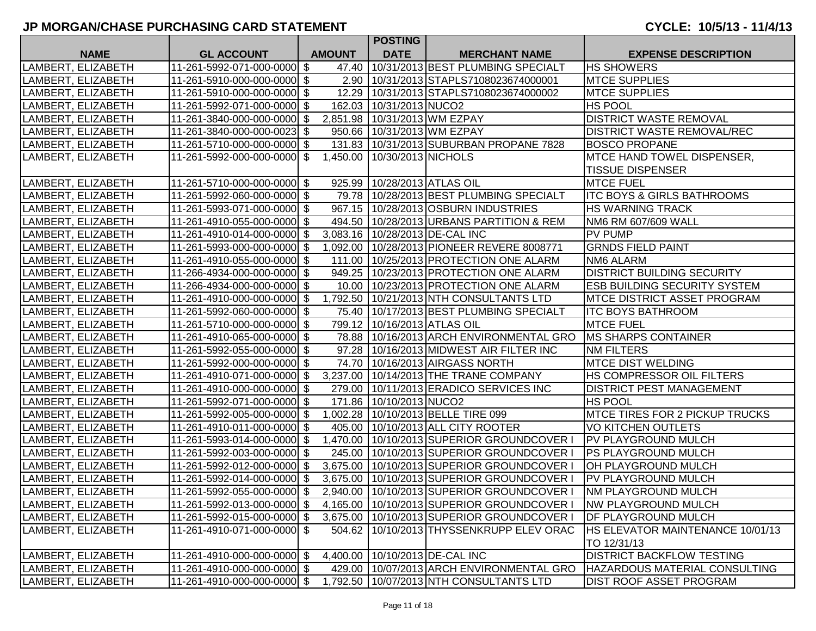|                                          |                                                            |                           |               | <b>POSTING</b>                  |                                                                                              |                                                       |
|------------------------------------------|------------------------------------------------------------|---------------------------|---------------|---------------------------------|----------------------------------------------------------------------------------------------|-------------------------------------------------------|
| <b>NAME</b>                              | <b>GL ACCOUNT</b>                                          |                           | <b>AMOUNT</b> | <b>DATE</b>                     | <b>MERCHANT NAME</b>                                                                         | <b>EXPENSE DESCRIPTION</b>                            |
| LAMBERT, ELIZABETH                       | 11-261-5992-071-000-0000 \$                                |                           | 47.40         |                                 | 10/31/2013 BEST PLUMBING SPECIALT                                                            | <b>HS SHOWERS</b>                                     |
| LAMBERT, ELIZABETH                       | 11-261-5910-000-000-0000 \$                                |                           |               |                                 | 2.90   10/31/2013   STAPLS7108023674000001                                                   | <b>MTCE SUPPLIES</b>                                  |
| LAMBERT, ELIZABETH                       | 11-261-5910-000-000-0000 \$                                |                           | 12.29         |                                 | 10/31/2013 STAPLS7108023674000002                                                            | <b>MTCE SUPPLIES</b>                                  |
| LAMBERT, ELIZABETH                       | 11-261-5992-071-000-0000 \$                                |                           |               | 162.03   10/31/2013 NUCO2       |                                                                                              | <b>HS POOL</b>                                        |
| LAMBERT, ELIZABETH                       | 11-261-3840-000-000-0000 \$                                |                           |               | 2,851.98 10/31/2013 WM EZPAY    |                                                                                              | <b>DISTRICT WASTE REMOVAL</b>                         |
| LAMBERT, ELIZABETH                       | 11-261-3840-000-000-0023 \$                                |                           |               |                                 | 950.66   10/31/2013 WM EZPAY                                                                 | <b>DISTRICT WASTE REMOVAL/REC</b>                     |
| LAMBERT, ELIZABETH                       | 11-261-5710-000-000-0000 \$                                |                           |               |                                 | 131.83   10/31/2013   SUBURBAN PROPANE 7828                                                  | <b>BOSCO PROPANE</b>                                  |
| LAMBERT, ELIZABETH                       | 11-261-5992-000-000-0000 \$                                |                           |               | 1,450.00 10/30/2013 NICHOLS     |                                                                                              | MTCE HAND TOWEL DISPENSER,<br><b>TISSUE DISPENSER</b> |
|                                          | 11-261-5710-000-000-0000 \$                                |                           |               | 925.99   10/28/2013   ATLAS OIL |                                                                                              | <b>MTCE FUEL</b>                                      |
| LAMBERT, ELIZABETH                       |                                                            |                           |               |                                 | 79.78   10/28/2013 BEST PLUMBING SPECIALT                                                    | <b>ITC BOYS &amp; GIRLS BATHROOMS</b>                 |
| LAMBERT, ELIZABETH                       | 11-261-5992-060-000-0000 \$                                |                           |               |                                 |                                                                                              |                                                       |
| LAMBERT, ELIZABETH                       | 11-261-5993-071-000-0000 \$<br>11-261-4910-055-000-0000 \$ |                           |               |                                 | 967.15   10/28/2013 OSBURN INDUSTRIES<br>494.50   10/28/2013 URBANS PARTITION & REM          | HS WARNING TRACK<br>NM6 RM 607/609 WALL               |
| LAMBERT, ELIZABETH                       | 11-261-4910-014-000-0000 \$                                |                           |               |                                 |                                                                                              | PV PUMP                                               |
| LAMBERT, ELIZABETH                       |                                                            |                           |               |                                 | 3,083.16   10/28/2013   DE-CAL INC                                                           | <b>GRNDS FIELD PAINT</b>                              |
| LAMBERT, ELIZABETH<br>LAMBERT, ELIZABETH | 11-261-5993-000-000-0000 \$<br>11-261-4910-055-000-0000 \$ |                           |               |                                 | 1,092.00   10/28/2013   PIONEER REVERE 8008771<br>111.00   10/25/2013   PROTECTION ONE ALARM | <b>NM6 ALARM</b>                                      |
|                                          | 11-266-4934-000-000-0000                                   | $\boldsymbol{\mathsf{S}}$ | 949.25        |                                 | 10/23/2013 PROTECTION ONE ALARM                                                              | <b>DISTRICT BUILDING SECURITY</b>                     |
| LAMBERT, ELIZABETH<br>LAMBERT, ELIZABETH | 11-266-4934-000-000-0000 \$                                |                           |               |                                 | 10.00   10/23/2013   PROTECTION ONE ALARM                                                    | ESB BUILDING SECURITY SYSTEM                          |
| LAMBERT, ELIZABETH                       | 11-261-4910-000-000-0000 \$                                |                           | 1,792.50      |                                 | 10/21/2013 NTH CONSULTANTS LTD                                                               | <b>MTCE DISTRICT ASSET PROGRAM</b>                    |
|                                          | 11-261-5992-060-000-0000 \$                                |                           |               |                                 | 75.40   10/17/2013 BEST PLUMBING SPECIALT                                                    | <b>ITC BOYS BATHROOM</b>                              |
| LAMBERT, ELIZABETH                       |                                                            |                           |               | 799.12   10/16/2013 ATLAS OIL   |                                                                                              | <b>MTCE FUEL</b>                                      |
| LAMBERT, ELIZABETH<br>LAMBERT, ELIZABETH | 11-261-5710-000-000-0000 \$<br>11-261-4910-065-000-0000 \$ |                           |               |                                 | 78.88   10/16/2013 ARCH ENVIRONMENTAL GRO                                                    | <b>MS SHARPS CONTAINER</b>                            |
| LAMBERT, ELIZABETH                       | 11-261-5992-055-000-0000 \$                                |                           |               |                                 | 97.28   10/16/2013 MIDWEST AIR FILTER INC                                                    | <b>NM FILTERS</b>                                     |
|                                          | 11-261-5992-000-000-0000 \$                                |                           |               |                                 | 74.70 10/16/2013 AIRGASS NORTH                                                               | <b>MTCE DIST WELDING</b>                              |
| LAMBERT, ELIZABETH                       |                                                            |                           |               |                                 | 3,237.00 10/14/2013 THE TRANE COMPANY                                                        | HS COMPRESSOR OIL FILTERS                             |
| LAMBERT, ELIZABETH                       | 11-261-4910-071-000-0000 \$<br>11-261-4910-000-000-0000 \$ |                           |               |                                 | 279.00   10/11/2013 ERADICO SERVICES INC                                                     | DISTRICT PEST MANAGEMENT                              |
| LAMBERT, ELIZABETH<br>LAMBERT, ELIZABETH | 11-261-5992-071-000-0000 \$                                |                           |               | 171.86   10/10/2013 NUCO2       |                                                                                              | HS POOL                                               |
|                                          | 11-261-5992-005-000-0000 \$                                |                           |               |                                 |                                                                                              | MTCE TIRES FOR 2 PICKUP TRUCKS                        |
| LAMBERT, ELIZABETH                       |                                                            |                           |               |                                 | 1,002.28   10/10/2013 BELLE TIRE 099                                                         |                                                       |
| LAMBERT, ELIZABETH                       | 11-261-4910-011-000-0000<br>11-261-5993-014-000-0000 \$    | \$                        |               |                                 | 405.00   10/10/2013 ALL CITY ROOTER<br>1,470.00   10/10/2013 SUPERIOR GROUNDCOVER I          | <b>VO KITCHEN OUTLETS</b>                             |
| LAMBERT, ELIZABETH                       | 11-261-5992-003-000-0000 \$                                |                           |               |                                 | 245.00   10/10/2013 SUPERIOR GROUNDCOVER I                                                   | PV PLAYGROUND MULCH<br><b>PS PLAYGROUND MULCH</b>     |
| LAMBERT, ELIZABETH<br>LAMBERT, ELIZABETH | 11-261-5992-012-000-0000 \$                                |                           |               |                                 | 3,675.00   10/10/2013 SUPERIOR GROUNDCOVER                                                   | OH PLAYGROUND MULCH                                   |
|                                          |                                                            |                           |               |                                 |                                                                                              |                                                       |
| LAMBERT, ELIZABETH                       | 11-261-5992-014-000-0000 \$<br>11-261-5992-055-000-0000 \$ |                           |               |                                 | 3,675.00   10/10/2013 SUPERIOR GROUNDCOVER I<br>2,940.00   10/10/2013 SUPERIOR GROUNDCOVER   | PV PLAYGROUND MULCH                                   |
| LAMBERT, ELIZABETH                       | 11-261-5992-013-000-0000 \$                                |                           |               |                                 |                                                                                              | <b>NM PLAYGROUND MULCH</b>                            |
| LAMBERT, ELIZABETH<br>LAMBERT, ELIZABETH |                                                            |                           |               |                                 | 4,165.00   10/10/2013 SUPERIOR GROUNDCOVER I                                                 | <b>NW PLAYGROUND MULCH</b>                            |
|                                          | 11-261-5992-015-000-0000 \$                                |                           |               |                                 | 3,675.00   10/10/2013 SUPERIOR GROUNDCOVER I                                                 | DF PLAYGROUND MULCH                                   |
| LAMBERT, ELIZABETH                       | 11-261-4910-071-000-0000  \$                               |                           |               |                                 | 504.62 10/10/2013 THYSSENKRUPP ELEV ORAC                                                     | HS ELEVATOR MAINTENANCE 10/01/13                      |
|                                          |                                                            |                           |               |                                 |                                                                                              | TO 12/31/13                                           |
| LAMBERT, ELIZABETH                       | 11-261-4910-000-000-0000 \$                                |                           |               |                                 | 4,400.00   10/10/2013   DE-CAL INC                                                           | <b>DISTRICT BACKFLOW TESTING</b>                      |
| LAMBERT, ELIZABETH                       | 11-261-4910-000-000-0000 \$                                |                           |               |                                 | 429.00   10/07/2013 ARCH ENVIRONMENTAL GRO                                                   | HAZARDOUS MATERIAL CONSULTING                         |
| LAMBERT, ELIZABETH                       | 11-261-4910-000-000-0000 \$                                |                           |               |                                 | 1,792.50   10/07/2013 NTH CONSULTANTS LTD                                                    | <b>DIST ROOF ASSET PROGRAM</b>                        |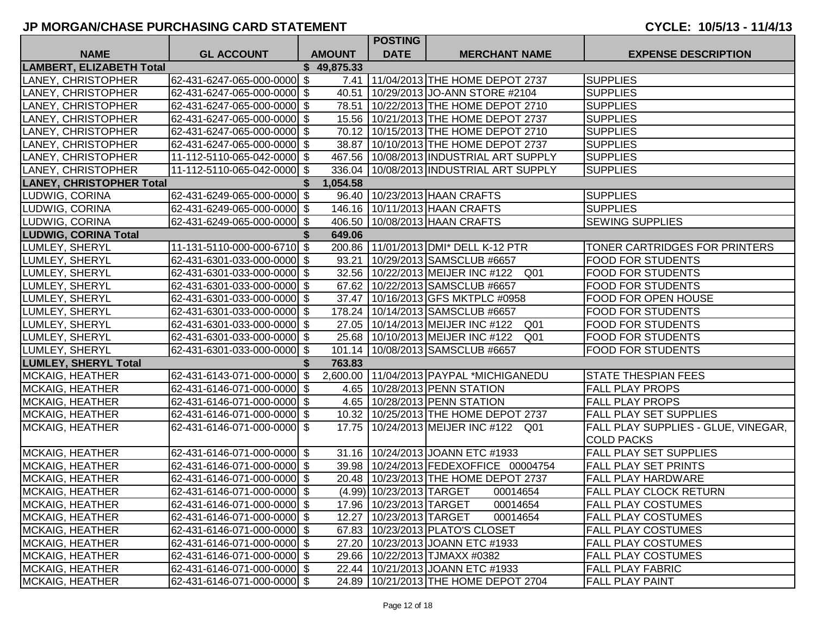|                                 |                             |               | <b>POSTING</b>              |                                                         |                                     |
|---------------------------------|-----------------------------|---------------|-----------------------------|---------------------------------------------------------|-------------------------------------|
| <b>NAME</b>                     | <b>GL ACCOUNT</b>           | <b>AMOUNT</b> | <b>DATE</b>                 | <b>MERCHANT NAME</b>                                    | <b>EXPENSE DESCRIPTION</b>          |
| LAMBERT, ELIZABETH Total        |                             | \$49,875.33   |                             |                                                         |                                     |
| LANEY, CHRISTOPHER              | 62-431-6247-065-000-0000 \$ | 7.41          |                             | 11/04/2013 THE HOME DEPOT 2737                          | <b>SUPPLIES</b>                     |
| LANEY, CHRISTOPHER              | 62-431-6247-065-000-0000 \$ |               |                             | 40.51   10/29/2013 JO-ANN STORE #2104                   | <b>SUPPLIES</b>                     |
| LANEY, CHRISTOPHER              | 62-431-6247-065-000-0000 \$ |               |                             | 78.51 10/22/2013 THE HOME DEPOT 2710                    | <b>SUPPLIES</b>                     |
| LANEY, CHRISTOPHER              | 62-431-6247-065-000-0000 \$ |               |                             | 15.56   10/21/2013 THE HOME DEPOT 2737                  | <b>SUPPLIES</b>                     |
| LANEY, CHRISTOPHER              | 62-431-6247-065-000-0000 \$ |               |                             | 70.12 10/15/2013 THE HOME DEPOT 2710                    | <b>SUPPLIES</b>                     |
| LANEY, CHRISTOPHER              | 62-431-6247-065-000-0000 \$ | 38.87         |                             | 10/10/2013 THE HOME DEPOT 2737                          | <b>SUPPLIES</b>                     |
| LANEY, CHRISTOPHER              | 11-112-5110-065-042-0000 \$ |               |                             | 467.56   10/08/2013 INDUSTRIAL ART SUPPLY               | <b>SUPPLIES</b>                     |
| LANEY, CHRISTOPHER              | 11-112-5110-065-042-0000 \$ |               |                             | 336.04   10/08/2013   INDUSTRIAL ART SUPPLY             | <b>SUPPLIES</b>                     |
| <b>LANEY, CHRISTOPHER Total</b> |                             | 1,054.58      |                             |                                                         |                                     |
| LUDWIG, CORINA                  | 62-431-6249-065-000-0000 \$ |               |                             | 96.40   10/23/2013   HAAN CRAFTS                        | <b>SUPPLIES</b>                     |
| LUDWIG, CORINA                  | 62-431-6249-065-000-0000 \$ |               |                             | 146.16   10/11/2013   HAAN CRAFTS                       | <b>SUPPLIES</b>                     |
| LUDWIG, CORINA                  | 62-431-6249-065-000-0000 \$ |               |                             | 406.50   10/08/2013   HAAN CRAFTS                       | <b>SEWING SUPPLIES</b>              |
| <b>LUDWIG, CORINA Total</b>     |                             | 649.06        |                             |                                                         |                                     |
| LUMLEY, SHERYL                  | 11-131-5110-000-000-6710 \$ |               |                             | 200.86   11/01/2013 DMI* DELL K-12 PTR                  | TONER CARTRIDGES FOR PRINTERS       |
| LUMLEY, SHERYL                  | 62-431-6301-033-000-0000 \$ | 93.21         |                             | 10/29/2013 SAMSCLUB #6657                               | <b>FOOD FOR STUDENTS</b>            |
| LUMLEY, SHERYL                  | 62-431-6301-033-000-0000 \$ |               |                             | 32.56 10/22/2013 MEIJER INC #122<br>Q <sub>01</sub>     | <b>FOOD FOR STUDENTS</b>            |
| LUMLEY, SHERYL                  | 62-431-6301-033-000-0000 \$ |               |                             | 67.62 10/22/2013 SAMSCLUB #6657                         | <b>FOOD FOR STUDENTS</b>            |
| LUMLEY, SHERYL                  | 62-431-6301-033-000-0000 \$ | 37.47         |                             | 10/16/2013 GFS MKTPLC #0958                             | FOOD FOR OPEN HOUSE                 |
| LUMLEY, SHERYL                  | 62-431-6301-033-000-0000 \$ | 178.24        |                             | 10/14/2013 SAMSCLUB #6657                               | <b>FOOD FOR STUDENTS</b>            |
| LUMLEY, SHERYL                  | 62-431-6301-033-000-0000 \$ |               |                             | 27.05   10/14/2013   MEIJER INC #122<br>Q <sub>01</sub> | <b>FOOD FOR STUDENTS</b>            |
| LUMLEY, SHERYL                  | 62-431-6301-033-000-0000 \$ |               |                             | 25.68   10/10/2013   MEIJER INC #122<br>Q <sub>01</sub> | <b>FOOD FOR STUDENTS</b>            |
| LUMLEY, SHERYL                  | 62-431-6301-033-000-0000 \$ |               |                             | 101.14   10/08/2013   SAMSCLUB #6657                    | <b>FOOD FOR STUDENTS</b>            |
| <b>LUMLEY, SHERYL Total</b>     |                             | 763.83        |                             |                                                         |                                     |
| <b>MCKAIG, HEATHER</b>          | 62-431-6143-071-000-0000 \$ |               |                             | 2,600.00   11/04/2013   PAYPAL *MICHIGANEDU             | <b>STATE THESPIAN FEES</b>          |
| <b>MCKAIG, HEATHER</b>          | 62-431-6146-071-000-0000 \$ |               |                             | 4.65   10/28/2013   PENN STATION                        | <b>FALL PLAY PROPS</b>              |
| <b>MCKAIG, HEATHER</b>          | 62-431-6146-071-000-0000 \$ |               |                             | 4.65   10/28/2013   PENN STATION                        | <b>FALL PLAY PROPS</b>              |
| <b>MCKAIG, HEATHER</b>          | 62-431-6146-071-000-0000 \$ |               |                             | 10.32   10/25/2013   THE HOME DEPOT 2737                | FALL PLAY SET SUPPLIES              |
| <b>MCKAIG, HEATHER</b>          | 62-431-6146-071-000-0000 \$ | 17.75         |                             | 10/24/2013 MEIJER INC #122<br>Q01                       | FALL PLAY SUPPLIES - GLUE, VINEGAR, |
|                                 |                             |               |                             |                                                         | <b>COLD PACKS</b>                   |
| <b>MCKAIG, HEATHER</b>          | 62-431-6146-071-000-0000 \$ |               |                             | 31.16   10/24/2013 JOANN ETC #1933                      | FALL PLAY SET SUPPLIES              |
| <b>MCKAIG, HEATHER</b>          | 62-431-6146-071-000-0000 \$ |               |                             | 39.98   10/24/2013   FEDEXOFFICE 00004754               | FALL PLAY SET PRINTS                |
| <b>MCKAIG, HEATHER</b>          | 62-431-6146-071-000-0000 \$ |               |                             | 20.48 10/23/2013 THE HOME DEPOT 2737                    | FALL PLAY HARDWARE                  |
| <b>MCKAIG, HEATHER</b>          | 62-431-6146-071-000-0000 \$ |               | (4.99) 10/23/2013 TARGET    | 00014654                                                | FALL PLAY CLOCK RETURN              |
| <b>MCKAIG, HEATHER</b>          | 62-431-6146-071-000-0000 \$ |               | 17.96   10/23/2013   TARGET | 00014654                                                | <b>FALL PLAY COSTUMES</b>           |
| MCKAIG, HEATHER                 | 62-431-6146-071-000-0000 \$ |               | 12.27 10/23/2013 TARGET     | 00014654                                                | FALL PLAY COSTUMES                  |
| MCKAIG, HEATHER                 | 62-431-6146-071-000-0000 \$ |               |                             | 67.83 10/23/2013 PLATO'S CLOSET                         | <b>FALL PLAY COSTUMES</b>           |
| MCKAIG, HEATHER                 | 62-431-6146-071-000-0000 \$ |               |                             | 27.20   10/23/2013 JOANN ETC #1933                      | <b>FALL PLAY COSTUMES</b>           |
| <b>MCKAIG, HEATHER</b>          | 62-431-6146-071-000-0000 \$ |               |                             | 29.66   10/22/2013   TJMAXX #0382                       | <b>FALL PLAY COSTUMES</b>           |
| <b>MCKAIG, HEATHER</b>          | 62-431-6146-071-000-0000 \$ |               |                             | 22.44   10/21/2013 JOANN ETC #1933                      | <b>FALL PLAY FABRIC</b>             |
| MCKAIG, HEATHER                 | 62-431-6146-071-000-0000 \$ |               |                             | 24.89   10/21/2013 THE HOME DEPOT 2704                  | <b>FALL PLAY PAINT</b>              |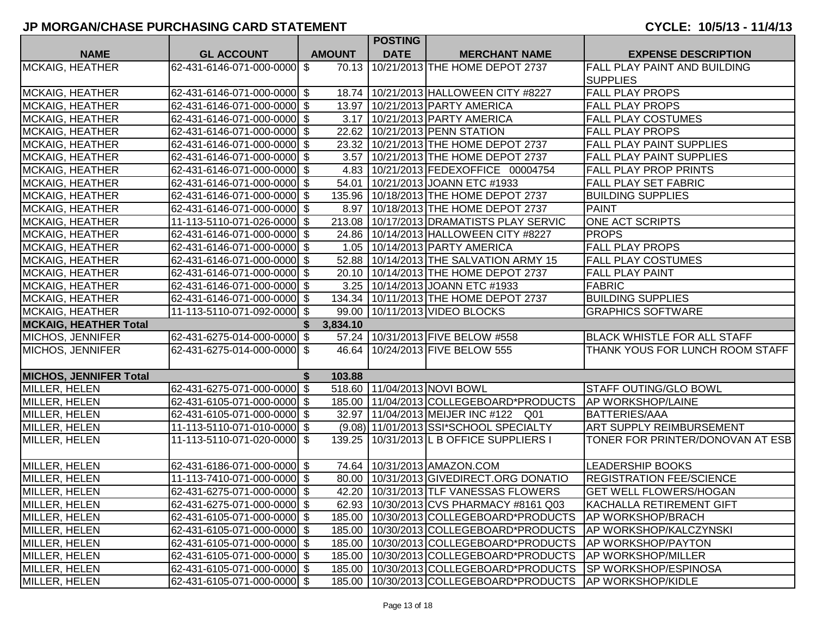|                               |                             |               | <b>POSTING</b> |                                              |                                    |
|-------------------------------|-----------------------------|---------------|----------------|----------------------------------------------|------------------------------------|
| <b>NAME</b>                   | <b>GL ACCOUNT</b>           | <b>AMOUNT</b> | <b>DATE</b>    | <b>MERCHANT NAME</b>                         | <b>EXPENSE DESCRIPTION</b>         |
| MCKAIG, HEATHER               | 62-431-6146-071-000-0000 \$ |               |                | 70.13 10/21/2013 THE HOME DEPOT 2737         | FALL PLAY PAINT AND BUILDING       |
|                               |                             |               |                |                                              | <b>SUPPLIES</b>                    |
| <b>MCKAIG, HEATHER</b>        | 62-431-6146-071-000-0000 \$ |               |                | 18.74 10/21/2013 HALLOWEEN CITY #8227        | <b>FALL PLAY PROPS</b>             |
| <b>MCKAIG, HEATHER</b>        | 62-431-6146-071-000-0000 \$ |               |                | 13.97   10/21/2013   PARTY AMERICA           | <b>FALL PLAY PROPS</b>             |
| <b>MCKAIG, HEATHER</b>        | 62-431-6146-071-000-0000 \$ |               |                | 3.17   10/21/2013   PARTY AMERICA            | FALL PLAY COSTUMES                 |
| <b>MCKAIG, HEATHER</b>        | 62-431-6146-071-000-0000 \$ |               |                | 22.62   10/21/2013   PENN STATION            | <b>FALL PLAY PROPS</b>             |
| <b>MCKAIG, HEATHER</b>        | 62-431-6146-071-000-0000 \$ |               |                | 23.32   10/21/2013 THE HOME DEPOT 2737       | FALL PLAY PAINT SUPPLIES           |
| <b>MCKAIG, HEATHER</b>        | 62-431-6146-071-000-0000 \$ |               |                | 3.57 10/21/2013 THE HOME DEPOT 2737          | <b>FALL PLAY PAINT SUPPLIES</b>    |
| <b>MCKAIG, HEATHER</b>        | 62-431-6146-071-000-0000 \$ |               |                | 4.83 10/21/2013 FEDEXOFFICE 00004754         | <b>FALL PLAY PROP PRINTS</b>       |
| <b>MCKAIG, HEATHER</b>        | 62-431-6146-071-000-0000 \$ |               |                | 54.01   10/21/2013 JOANN ETC #1933           | <b>FALL PLAY SET FABRIC</b>        |
| <b>MCKAIG, HEATHER</b>        | 62-431-6146-071-000-0000 \$ |               |                | 135.96   10/18/2013   THE HOME DEPOT 2737    | <b>BUILDING SUPPLIES</b>           |
| <b>MCKAIG, HEATHER</b>        | 62-431-6146-071-000-0000 \$ |               |                | 8.97   10/18/2013 THE HOME DEPOT 2737        | <b>PAINT</b>                       |
| <b>MCKAIG, HEATHER</b>        | 11-113-5110-071-026-0000 \$ |               |                | 213.08   10/17/2013   DRAMATISTS PLAY SERVIC | <b>ONE ACT SCRIPTS</b>             |
| <b>MCKAIG, HEATHER</b>        | 62-431-6146-071-000-0000 \$ |               |                | 24.86   10/14/2013   HALLOWEEN CITY #8227    | <b>PROPS</b>                       |
| <b>MCKAIG, HEATHER</b>        | 62-431-6146-071-000-0000 \$ |               |                | 1.05 10/14/2013 PARTY AMERICA                | <b>FALL PLAY PROPS</b>             |
| <b>MCKAIG, HEATHER</b>        | 62-431-6146-071-000-0000 \$ |               |                | 52.88   10/14/2013 THE SALVATION ARMY 15     | <b>FALL PLAY COSTUMES</b>          |
| <b>MCKAIG, HEATHER</b>        | 62-431-6146-071-000-0000 \$ |               |                | 20.10 10/14/2013 THE HOME DEPOT 2737         | <b>FALL PLAY PAINT</b>             |
| <b>MCKAIG, HEATHER</b>        | 62-431-6146-071-000-0000 \$ |               |                | 3.25   10/14/2013 JOANN ETC #1933            | <b>FABRIC</b>                      |
| <b>MCKAIG, HEATHER</b>        | 62-431-6146-071-000-0000 \$ | 134.34        |                | 10/11/2013 THE HOME DEPOT 2737               | <b>BUILDING SUPPLIES</b>           |
| <b>MCKAIG, HEATHER</b>        | 11-113-5110-071-092-0000 \$ |               |                | 99.00 10/11/2013 VIDEO BLOCKS                | <b>GRAPHICS SOFTWARE</b>           |
| <b>MCKAIG, HEATHER Total</b>  |                             | 3,834.10      |                |                                              |                                    |
| MICHOS, JENNIFER              | 62-431-6275-014-000-0000 \$ |               |                | 57.24 10/31/2013 FIVE BELOW #558             | <b>BLACK WHISTLE FOR ALL STAFF</b> |
| <b>MICHOS, JENNIFER</b>       | 62-431-6275-014-000-0000 \$ |               |                | 46.64 10/24/2013 FIVE BELOW 555              | THANK YOUS FOR LUNCH ROOM STAFF    |
|                               |                             |               |                |                                              |                                    |
| <b>MICHOS, JENNIFER Total</b> |                             | \$<br>103.88  |                |                                              |                                    |
| MILLER, HELEN                 | 62-431-6275-071-000-0000 \$ |               |                | 518.60 11/04/2013 NOVI BOWL                  | <b>STAFF OUTING/GLO BOWL</b>       |
| MILLER, HELEN                 | 62-431-6105-071-000-0000 \$ |               |                | 185.00 11/04/2013 COLLEGEBOARD*PRODUCTS      | <b>AP WORKSHOP/LAINE</b>           |
| MILLER, HELEN                 | 62-431-6105-071-000-0000 \$ |               |                | 32.97   11/04/2013   MEIJER INC #122 Q01     | <b>BATTERIES/AAA</b>               |
| MILLER, HELEN                 | 11-113-5110-071-010-0000 \$ |               |                | (9.08) 11/01/2013 SSI*SCHOOL SPECIALTY       | ART SUPPLY REIMBURSEMENT           |
| MILLER, HELEN                 | 11-113-5110-071-020-0000 \$ | 139.25        |                | 10/31/2013 L B OFFICE SUPPLIERS I            | TONER FOR PRINTER/DONOVAN AT ESB   |
|                               |                             |               |                |                                              |                                    |
| MILLER, HELEN                 | 62-431-6186-071-000-0000 \$ |               |                | 74.64   10/31/2013   AMAZON.COM              | <b>LEADERSHIP BOOKS</b>            |
| MILLER, HELEN                 | 11-113-7410-071-000-0000 \$ |               |                | 80.00   10/31/2013 GIVEDIRECT.ORG DONATIO    | <b>REGISTRATION FEE/SCIENCE</b>    |
| MILLER, HELEN                 | 62-431-6275-071-000-0000 \$ |               |                | 42.20   10/31/2013 TLF VANESSAS FLOWERS      | <b>GET WELL FLOWERS/HOGAN</b>      |
| MILLER, HELEN                 | 62-431-6275-071-000-0000 \$ |               |                | 62.93 10/30/2013 CVS PHARMACY #8161 Q03      | KACHALLA RETIREMENT GIFT           |
| MILLER, HELEN                 | 62-431-6105-071-000-0000 \$ |               |                | 185.00   10/30/2013 COLLEGEBOARD*PRODUCTS    | <b>AP WORKSHOP/BRACH</b>           |
| MILLER, HELEN                 | 62-431-6105-071-000-0000 \$ |               |                | 185.00   10/30/2013 COLLEGEBOARD*PRODUCTS    | <b>AP WORKSHOP/KALCZYNSKI</b>      |
| MILLER, HELEN                 | 62-431-6105-071-000-0000 \$ |               |                | 185.00   10/30/2013 COLLEGEBOARD*PRODUCTS    | AP WORKSHOP/PAYTON                 |
| MILLER, HELEN                 | 62-431-6105-071-000-0000 \$ |               |                | 185.00   10/30/2013 COLLEGEBOARD*PRODUCTS    | <b>AP WORKSHOP/MILLER</b>          |
| MILLER, HELEN                 | 62-431-6105-071-000-0000 \$ |               |                | 185.00   10/30/2013 COLLEGEBOARD*PRODUCTS    | <b>SP WORKSHOP/ESPINOSA</b>        |
| MILLER, HELEN                 | 62-431-6105-071-000-0000 \$ |               |                | 185.00   10/30/2013 COLLEGEBOARD*PRODUCTS    | <b>AP WORKSHOP/KIDLE</b>           |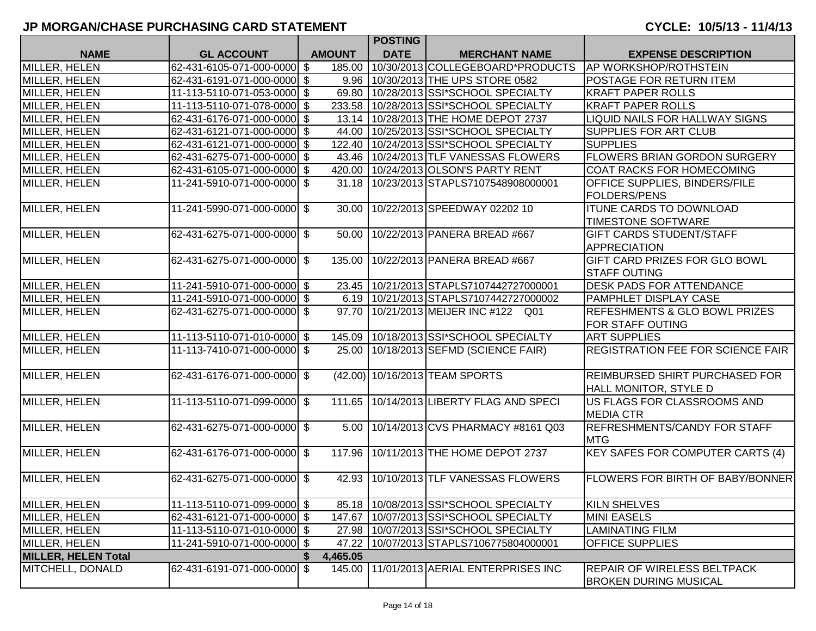|                            |                              |               | <b>POSTING</b> |                                           |                                                                       |
|----------------------------|------------------------------|---------------|----------------|-------------------------------------------|-----------------------------------------------------------------------|
| <b>NAME</b>                | <b>GL ACCOUNT</b>            | <b>AMOUNT</b> | <b>DATE</b>    | <b>MERCHANT NAME</b>                      | <b>EXPENSE DESCRIPTION</b>                                            |
| MILLER, HELEN              | 62-431-6105-071-000-0000 \$  | 185.00        |                | 10/30/2013 COLLEGEBOARD*PRODUCTS          | <b>AP WORKSHOP/ROTHSTEIN</b>                                          |
| MILLER, HELEN              | 62-431-6191-071-000-0000 \$  |               |                | 9.96 10/30/2013 THE UPS STORE 0582        | <b>POSTAGE FOR RETURN ITEM</b>                                        |
| MILLER, HELEN              | 11-113-5110-071-053-0000 \$  | 69.80         |                | 10/28/2013 SSI*SCHOOL SPECIALTY           | <b>KRAFT PAPER ROLLS</b>                                              |
| MILLER, HELEN              | 11-113-5110-071-078-0000 \$  | 233.58        |                | 10/28/2013 SSI*SCHOOL SPECIALTY           | <b>KRAFT PAPER ROLLS</b>                                              |
| MILLER, HELEN              | 62-431-6176-071-000-0000 \$  | 13.14         |                | 10/28/2013 THE HOME DEPOT 2737            | LIQUID NAILS FOR HALLWAY SIGNS                                        |
| MILLER, HELEN              | 62-431-6121-071-000-0000 \$  | 44.00         |                | 10/25/2013 SSI*SCHOOL SPECIALTY           | SUPPLIES FOR ART CLUB                                                 |
| MILLER, HELEN              | 62-431-6121-071-000-0000 \$  | 122.40        |                | 10/24/2013 SSI*SCHOOL SPECIALTY           | <b>SUPPLIES</b>                                                       |
| MILLER, HELEN              | 62-431-6275-071-000-0000 \$  | 43.46         |                | 10/24/2013 TLF VANESSAS FLOWERS           | <b>FLOWERS BRIAN GORDON SURGERY</b>                                   |
| MILLER, HELEN              | 62-431-6105-071-000-0000 \$  |               |                | 420.00   10/24/2013 OLSON'S PARTY RENT    | COAT RACKS FOR HOMECOMING                                             |
| MILLER, HELEN              | 11-241-5910-071-000-0000 \$  |               |                | 31.18   10/23/2013 STAPLS7107548908000001 | <b>OFFICE SUPPLIES, BINDERS/FILE</b><br><b>FOLDERS/PENS</b>           |
| MILLER, HELEN              | 11-241-5990-071-000-0000 \$  | 30.00         |                | 10/22/2013 SPEEDWAY 02202 10              | <b>ITUNE CARDS TO DOWNLOAD</b><br><b>TIMESTONE SOFTWARE</b>           |
| MILLER, HELEN              | 62-431-6275-071-000-0000 \$  | 50.00         |                | 10/22/2013 PANERA BREAD #667              | <b>GIFT CARDS STUDENT/STAFF</b><br>APPRECIATION                       |
| <b>MILLER, HELEN</b>       | 62-431-6275-071-000-0000 \$  | 135.00        |                | 10/22/2013 PANERA BREAD #667              | <b>GIFT CARD PRIZES FOR GLO BOWL</b><br><b>STAFF OUTING</b>           |
| MILLER, HELEN              | 11-241-5910-071-000-0000 \$  |               |                | 23.45 10/21/2013 STAPLS7107442727000001   | <b>DESK PADS FOR ATTENDANCE</b>                                       |
| MILLER, HELEN              | 11-241-5910-071-000-0000  \$ | 6.19          |                | 10/21/2013 STAPLS7107442727000002         | <b>PAMPHLET DISPLAY CASE</b>                                          |
| MILLER, HELEN              | 62-431-6275-071-000-0000 \$  | 97.70         |                | 10/21/2013 MEIJER INC #122 Q01            | <b>REFESHMENTS &amp; GLO BOWL PRIZES</b><br><b>FOR STAFF OUTING</b>   |
| <b>MILLER, HELEN</b>       | 11-113-5110-071-010-0000 \$  |               |                | 145.09 10/18/2013 SSI*SCHOOL SPECIALTY    | <b>ART SUPPLIES</b>                                                   |
| MILLER, HELEN              | 11-113-7410-071-000-0000 \$  | 25.00         |                | 10/18/2013 SEFMD (SCIENCE FAIR)           | <b>REGISTRATION FEE FOR SCIENCE FAIR</b>                              |
| MILLER, HELEN              | 62-431-6176-071-000-0000 \$  |               |                | (42.00) 10/16/2013 TEAM SPORTS            | <b>REIMBURSED SHIRT PURCHASED FOR</b><br><b>HALL MONITOR, STYLE D</b> |
| MILLER, HELEN              | 11-113-5110-071-099-0000 \$  | 111.65        |                | 10/14/2013 LIBERTY FLAG AND SPECI         | US FLAGS FOR CLASSROOMS AND<br><b>MEDIA CTR</b>                       |
| MILLER, HELEN              | 62-431-6275-071-000-0000 \$  | 5.00          |                | 10/14/2013 CVS PHARMACY #8161 Q03         | <b>REFRESHMENTS/CANDY FOR STAFF</b><br><b>MTG</b>                     |
| MILLER, HELEN              | 62-431-6176-071-000-0000 \$  | 117.96        |                | 10/11/2013 THE HOME DEPOT 2737            | <b>KEY SAFES FOR COMPUTER CARTS (4)</b>                               |
| MILLER, HELEN              | 62-431-6275-071-000-0000 \$  |               |                | 42.93 10/10/2013 TLF VANESSAS FLOWERS     | <b>FLOWERS FOR BIRTH OF BABY/BONNER</b>                               |
| MILLER, HELEN              | 11-113-5110-071-099-0000 \$  |               |                | 85.18 10/08/2013 SSI*SCHOOL SPECIALTY     | <b>KILN SHELVES</b>                                                   |
| MILLER, HELEN              | 62-431-6121-071-000-0000 \$  | 147.67        |                | 10/07/2013 SSI*SCHOOL SPECIALTY           | <b>MINI EASELS</b>                                                    |
| MILLER, HELEN              | 11-113-5110-071-010-0000 \$  |               |                | 27.98   10/07/2013 SSI*SCHOOL SPECIALTY   | <b>LAMINATING FILM</b>                                                |
| MILLER, HELEN              | 11-241-5910-071-000-0000 \$  | 47.22         |                | 10/07/2013 STAPLS7106775804000001         | <b>OFFICE SUPPLIES</b>                                                |
| <b>MILLER, HELEN Total</b> |                              | 4,465.05      |                |                                           |                                                                       |
| MITCHELL, DONALD           | 62-431-6191-071-000-0000 \$  |               |                | 145.00 11/01/2013 AERIAL ENTERPRISES INC  | <b>REPAIR OF WIRELESS BELTPACK</b><br><b>BROKEN DURING MUSICAL</b>    |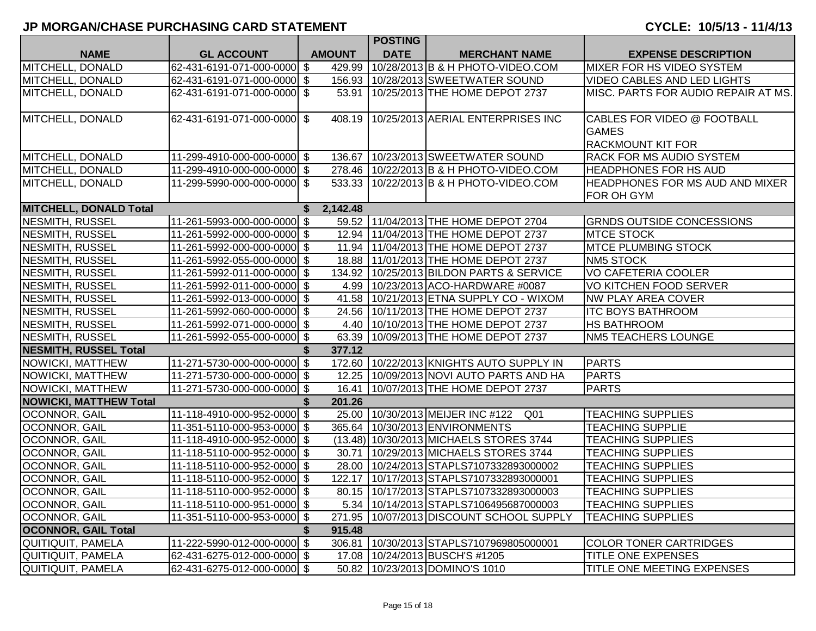|                               |                             |    |               | <b>POSTING</b> |                                                     |                                                                         |
|-------------------------------|-----------------------------|----|---------------|----------------|-----------------------------------------------------|-------------------------------------------------------------------------|
| <b>NAME</b>                   | <b>GL ACCOUNT</b>           |    | <b>AMOUNT</b> | <b>DATE</b>    | <b>MERCHANT NAME</b>                                | <b>EXPENSE DESCRIPTION</b>                                              |
| MITCHELL, DONALD              | 62-431-6191-071-000-0000 \$ |    | 429.99        |                | 10/28/2013 B & H PHOTO-VIDEO.COM                    | <b>MIXER FOR HS VIDEO SYSTEM</b>                                        |
| MITCHELL, DONALD              | 62-431-6191-071-000-0000 \$ |    | 156.93        |                | 10/28/2013 SWEETWATER SOUND                         | <b>VIDEO CABLES AND LED LIGHTS</b>                                      |
| MITCHELL, DONALD              | 62-431-6191-071-000-0000 \$ |    |               |                | 53.91   10/25/2013 THE HOME DEPOT 2737              | MISC. PARTS FOR AUDIO REPAIR AT MS.                                     |
| MITCHELL, DONALD              | 62-431-6191-071-000-0000 \$ |    | 408.19        |                | 10/25/2013 AERIAL ENTERPRISES INC                   | CABLES FOR VIDEO @ FOOTBALL<br><b>GAMES</b><br><b>RACKMOUNT KIT FOR</b> |
| MITCHELL, DONALD              | 11-299-4910-000-000-0000 \$ |    |               |                | 136.67   10/23/2013 SWEETWATER SOUND                | <b>RACK FOR MS AUDIO SYSTEM</b>                                         |
| MITCHELL, DONALD              | 11-299-4910-000-000-0000 \$ |    |               |                | 278.46   10/22/2013   B & H PHOTO-VIDEO.COM         | <b>HEADPHONES FOR HS AUD</b>                                            |
| MITCHELL, DONALD              | 11-299-5990-000-000-0000 \$ |    |               |                | 533.33   10/22/2013   B & H PHOTO-VIDEO.COM         | <b>HEADPHONES FOR MS AUD AND MIXER</b><br>FOR OH GYM                    |
| <b>MITCHELL, DONALD Total</b> |                             | \$ | 2,142.48      |                |                                                     |                                                                         |
| <b>NESMITH, RUSSEL</b>        | 11-261-5993-000-000-0000 \$ |    |               |                | 59.52 11/04/2013 THE HOME DEPOT 2704                | <b>GRNDS OUTSIDE CONCESSIONS</b>                                        |
| <b>NESMITH, RUSSEL</b>        | 11-261-5992-000-000-0000 \$ |    |               |                | 12.94 11/04/2013 THE HOME DEPOT 2737                | <b>MTCE STOCK</b>                                                       |
| <b>NESMITH, RUSSEL</b>        | 11-261-5992-000-000-0000 \$ |    |               |                | 11.94 11/04/2013 THE HOME DEPOT 2737                | <b>MTCE PLUMBING STOCK</b>                                              |
| NESMITH, RUSSEL               | 11-261-5992-055-000-0000 \$ |    |               |                | 18.88   11/01/2013 THE HOME DEPOT 2737              | <b>NM5 STOCK</b>                                                        |
| <b>NESMITH, RUSSEL</b>        | 11-261-5992-011-000-0000 \$ |    |               |                | 134.92 10/25/2013 BILDON PARTS & SERVICE            | <b>VO CAFETERIA COOLER</b>                                              |
| NESMITH, RUSSEL               | 11-261-5992-011-000-0000 \$ |    |               |                | 4.99 10/23/2013 ACO-HARDWARE #0087                  | <b>VO KITCHEN FOOD SERVER</b>                                           |
| NESMITH, RUSSEL               | 11-261-5992-013-000-0000 \$ |    |               |                | 41.58 10/21/2013 ETNA SUPPLY CO - WIXOM             | NW PLAY AREA COVER                                                      |
| <b>NESMITH, RUSSEL</b>        | 11-261-5992-060-000-0000 \$ |    |               |                | 24.56 10/11/2013 THE HOME DEPOT 2737                | <b>ITC BOYS BATHROOM</b>                                                |
| <b>NESMITH, RUSSEL</b>        | 11-261-5992-071-000-0000 \$ |    |               |                | 4.40 10/10/2013 THE HOME DEPOT 2737                 | <b>HS BATHROOM</b>                                                      |
| NESMITH, RUSSEL               | 11-261-5992-055-000-0000 \$ |    |               |                | 63.39 10/09/2013 THE HOME DEPOT 2737                | <b>NM5 TEACHERS LOUNGE</b>                                              |
| <b>NESMITH, RUSSEL Total</b>  |                             | S  | 377.12        |                |                                                     |                                                                         |
| NOWICKI, MATTHEW              | 11-271-5730-000-000-0000 \$ |    |               |                | 172.60   10/22/2013 KNIGHTS AUTO SUPPLY IN          | <b>PARTS</b>                                                            |
| NOWICKI, MATTHEW              | 11-271-5730-000-000-0000 \$ |    |               |                | 12.25 10/09/2013 NOVI AUTO PARTS AND HA             | <b>PARTS</b>                                                            |
| NOWICKI, MATTHEW              | 11-271-5730-000-000-0000 \$ |    |               |                | 16.41 10/07/2013 THE HOME DEPOT 2737                | <b>PARTS</b>                                                            |
| <b>NOWICKI, MATTHEW Total</b> |                             | \$ | 201.26        |                |                                                     |                                                                         |
| OCONNOR, GAIL                 | 11-118-4910-000-952-0000 \$ |    |               |                | 25.00 10/30/2013 MEIJER INC #122<br>Q <sub>01</sub> | <b>TEACHING SUPPLIES</b>                                                |
| OCONNOR, GAIL                 | 11-351-5110-000-953-0000 \$ |    |               |                | 365.64   10/30/2013 ENVIRONMENTS                    | <b>TEACHING SUPPLIE</b>                                                 |
| OCONNOR, GAIL                 | 11-118-4910-000-952-0000 \$ |    |               |                | (13.48) 10/30/2013 MICHAELS STORES 3744             | <b>TEACHING SUPPLIES</b>                                                |
| OCONNOR, GAIL                 | 11-118-5110-000-952-0000 \$ |    |               |                | 30.71   10/29/2013 MICHAELS STORES 3744             | <b>TEACHING SUPPLIES</b>                                                |
| OCONNOR, GAIL                 | 11-118-5110-000-952-0000 \$ |    |               |                | 28.00 10/24/2013 STAPLS7107332893000002             | <b>TEACHING SUPPLIES</b>                                                |
| OCONNOR, GAIL                 | 11-118-5110-000-952-0000 \$ |    |               |                | 122.17   10/17/2013 STAPLS7107332893000001          | <b>TEACHING SUPPLIES</b>                                                |
| OCONNOR, GAIL                 | 11-118-5110-000-952-0000 \$ |    |               |                | 80.15   10/17/2013 STAPLS7107332893000003           | <b>TEACHING SUPPLIES</b>                                                |
| OCONNOR, GAIL                 | 11-118-5110-000-951-0000 \$ |    |               |                | 5.34   10/14/2013 STAPLS7106495687000003            | <b>TEACHING SUPPLIES</b>                                                |
| OCONNOR, GAIL                 | 11-351-5110-000-953-0000 \$ |    |               |                | 271.95   10/07/2013   DISCOUNT SCHOOL SUPPLY        | <b>TEACHING SUPPLIES</b>                                                |
| <b>OCONNOR, GAIL Total</b>    |                             | \$ | 915.48        |                |                                                     |                                                                         |
| QUITIQUIT, PAMELA             | 11-222-5990-012-000-0000 \$ |    |               |                | 306.81   10/30/2013   STAPLS7107969805000001        | <b>COLOR TONER CARTRIDGES</b>                                           |
| QUITIQUIT, PAMELA             | 62-431-6275-012-000-0000 \$ |    |               |                | 17.08   10/24/2013   BUSCH'S #1205                  | <b>TITLE ONE EXPENSES</b>                                               |
| QUITIQUIT, PAMELA             | 62-431-6275-012-000-0000 \$ |    |               |                | 50.82 10/23/2013 DOMINO'S 1010                      | TITLE ONE MEETING EXPENSES                                              |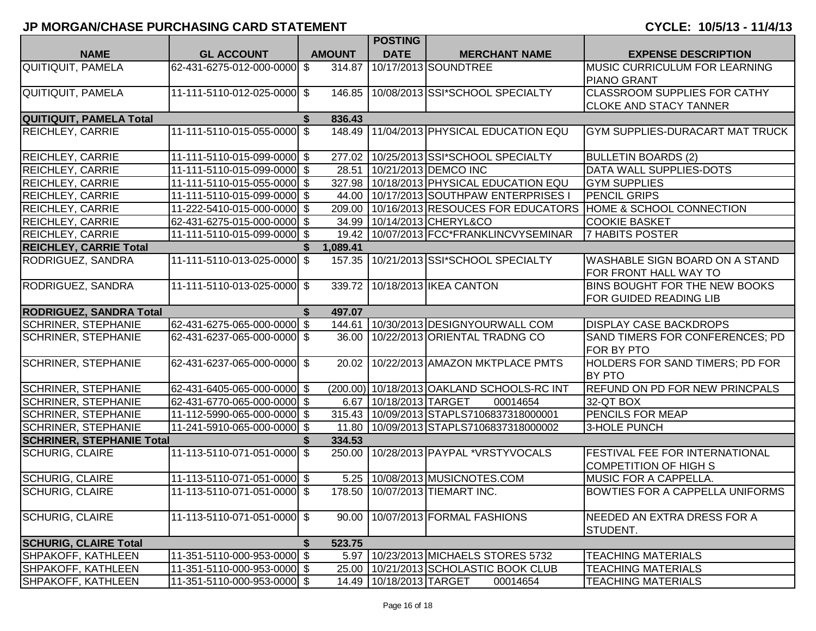|                                  |                             |    |               | <b>POSTING</b>              |                                              |                                                                       |
|----------------------------------|-----------------------------|----|---------------|-----------------------------|----------------------------------------------|-----------------------------------------------------------------------|
| <b>NAME</b>                      | <b>GL ACCOUNT</b>           |    | <b>AMOUNT</b> | <b>DATE</b>                 | <b>MERCHANT NAME</b>                         | <b>EXPENSE DESCRIPTION</b>                                            |
| <b>QUITIQUIT, PAMELA</b>         | 62-431-6275-012-000-0000 \$ |    | 314.87        |                             | 10/17/2013 SOUNDTREE                         | <b>MUSIC CURRICULUM FOR LEARNING</b><br><b>PIANO GRANT</b>            |
| <b>QUITIQUIT, PAMELA</b>         | 11-111-5110-012-025-0000 \$ |    |               |                             | 146.85 10/08/2013 SSI*SCHOOL SPECIALTY       | <b>CLASSROOM SUPPLIES FOR CATHY</b>                                   |
|                                  |                             |    |               |                             |                                              | <b>CLOKE AND STACY TANNER</b>                                         |
| <b>QUITIQUIT, PAMELA Total</b>   |                             | S. | 836.43        |                             |                                              |                                                                       |
| <b>REICHLEY, CARRIE</b>          | 11-111-5110-015-055-0000 \$ |    | 148.49        |                             | 11/04/2013 PHYSICAL EDUCATION EQU            | <b>GYM SUPPLIES-DURACART MAT TRUCK</b>                                |
| <b>REICHLEY, CARRIE</b>          | 11-111-5110-015-099-0000 \$ |    |               |                             | 277.02   10/25/2013   SSI*SCHOOL SPECIALTY   | <b>BULLETIN BOARDS (2)</b>                                            |
| <b>REICHLEY, CARRIE</b>          | 11-111-5110-015-099-0000 \$ |    | 28.51         |                             | 10/21/2013 DEMCO INC                         | DATA WALL SUPPLIES-DOTS                                               |
| <b>REICHLEY, CARRIE</b>          | 11-111-5110-015-055-0000 \$ |    |               |                             | 327.98   10/18/2013   PHYSICAL EDUCATION EQU | <b>GYM SUPPLIES</b>                                                   |
| <b>REICHLEY, CARRIE</b>          | 11-111-5110-015-099-0000 \$ |    | 44.00         |                             | 10/17/2013 SOUTHPAW ENTERPRISES I            | <b>PENCIL GRIPS</b>                                                   |
| <b>REICHLEY, CARRIE</b>          | 11-222-5410-015-000-0000 \$ |    | 209.00        |                             |                                              | 10/16/2013 RESOUCES FOR EDUCATORS HOME & SCHOOL CONNECTION            |
| <b>REICHLEY, CARRIE</b>          | 62-431-6275-015-000-0000 \$ |    | 34.99         |                             | 10/14/2013 CHERYL&CO                         | <b>COOKIE BASKET</b>                                                  |
| <b>REICHLEY, CARRIE</b>          | 11-111-5110-015-099-0000 \$ |    | 19.42         |                             | 10/07/2013 FCC*FRANKLINCVYSEMINAR            | <b>7 HABITS POSTER</b>                                                |
| <b>REICHLEY, CARRIE Total</b>    |                             |    | 1,089.41      |                             |                                              |                                                                       |
| RODRIGUEZ, SANDRA                | 11-111-5110-013-025-0000 \$ |    |               |                             | 157.35   10/21/2013   SSI*SCHOOL SPECIALTY   | <b>WASHABLE SIGN BOARD ON A STAND</b><br>FOR FRONT HALL WAY TO        |
| RODRIGUEZ, SANDRA                | 11-111-5110-013-025-0000 \$ |    |               |                             | 339.72 10/18/2013 IKEA CANTON                | BINS BOUGHT FOR THE NEW BOOKS<br>FOR GUIDED READING LIB               |
| <b>RODRIGUEZ, SANDRA Total</b>   |                             | S  | 497.07        |                             |                                              |                                                                       |
| <b>SCHRINER, STEPHANIE</b>       | 62-431-6275-065-000-0000 \$ |    | 144.61        |                             | 10/30/2013 DESIGNYOURWALL COM                | <b>DISPLAY CASE BACKDROPS</b>                                         |
| <b>SCHRINER, STEPHANIE</b>       | 62-431-6237-065-000-0000 \$ |    | 36.00         |                             | 10/22/2013 ORIENTAL TRADNG CO                | SAND TIMERS FOR CONFERENCES; PD<br><b>FOR BY PTO</b>                  |
| <b>SCHRINER, STEPHANIE</b>       | 62-431-6237-065-000-0000 \$ |    |               |                             | 20.02   10/22/2013   AMAZON MKTPLACE PMTS    | HOLDERS FOR SAND TIMERS; PD FOR<br><b>BY PTO</b>                      |
| <b>SCHRINER, STEPHANIE</b>       | 62-431-6405-065-000-0000 \$ |    |               |                             | (200.00) 10/18/2013 OAKLAND SCHOOLS-RC INT   | <b>REFUND ON PD FOR NEW PRINCPALS</b>                                 |
| <b>SCHRINER, STEPHANIE</b>       | 62-431-6770-065-000-0000 \$ |    | 6.67          | 10/18/2013 TARGET           | 00014654                                     | 32-QT BOX                                                             |
| <b>SCHRINER, STEPHANIE</b>       | 11-112-5990-065-000-0000 \$ |    |               |                             | 315.43 10/09/2013 STAPLS7106837318000001     | <b>PENCILS FOR MEAP</b>                                               |
| <b>SCHRINER, STEPHANIE</b>       | 11-241-5910-065-000-0000 \$ |    | 11.80         |                             | 10/09/2013 STAPLS7106837318000002            | 3-HOLE PUNCH                                                          |
| <b>SCHRINER, STEPHANIE Total</b> |                             |    | 334.53        |                             |                                              |                                                                       |
| <b>SCHURIG, CLAIRE</b>           | 11-113-5110-071-051-0000 \$ |    | 250.00        |                             | 10/28/2013 PAYPAL *VRSTYVOCALS               | <b>FESTIVAL FEE FOR INTERNATIONAL</b><br><b>COMPETITION OF HIGH S</b> |
| <b>SCHURIG, CLAIRE</b>           | 11-113-5110-071-051-0000 \$ |    |               |                             | 5.25   10/08/2013 MUSICNOTES.COM             | MUSIC FOR A CAPPELLA.                                                 |
| <b>SCHURIG, CLAIRE</b>           | 11-113-5110-071-051-0000 \$ |    |               |                             | 178.50   10/07/2013   TIEMART INC.           | <b>BOWTIES FOR A CAPPELLA UNIFORMS</b>                                |
| <b>SCHURIG, CLAIRE</b>           | 11-113-5110-071-051-0000 \$ |    | 90.00         |                             | 10/07/2013 FORMAL FASHIONS                   | NEEDED AN EXTRA DRESS FOR A<br>STUDENT.                               |
| <b>SCHURIG, CLAIRE Total</b>     |                             |    | 523.75        |                             |                                              |                                                                       |
| SHPAKOFF, KATHLEEN               | 11-351-5110-000-953-0000 \$ |    | 5.97          |                             | 10/23/2013 MICHAELS STORES 5732              | <b>TEACHING MATERIALS</b>                                             |
| <b>SHPAKOFF, KATHLEEN</b>        | 11-351-5110-000-953-0000 \$ |    | 25.00         |                             | 10/21/2013 SCHOLASTIC BOOK CLUB              | <b>TEACHING MATERIALS</b>                                             |
| SHPAKOFF, KATHLEEN               | 11-351-5110-000-953-0000 \$ |    |               | 14.49   10/18/2013   TARGET | 00014654                                     | <b>TEACHING MATERIALS</b>                                             |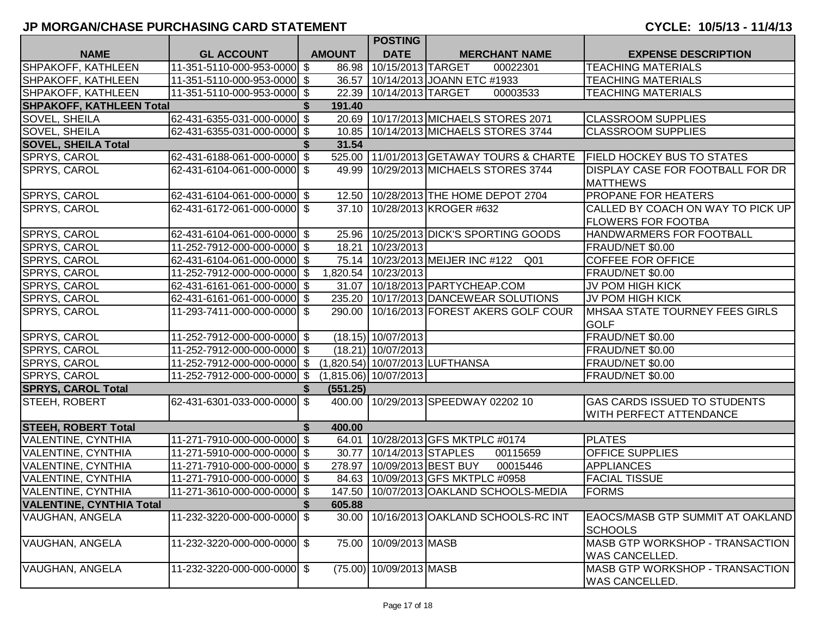|                                 |                             |    |               | <b>POSTING</b>          |                                                       |                                         |
|---------------------------------|-----------------------------|----|---------------|-------------------------|-------------------------------------------------------|-----------------------------------------|
| <b>NAME</b>                     | <b>GL ACCOUNT</b>           |    | <b>AMOUNT</b> | <b>DATE</b>             | <b>MERCHANT NAME</b>                                  | <b>EXPENSE DESCRIPTION</b>              |
| SHPAKOFF, KATHLEEN              | 11-351-5110-000-953-0000 \$ |    |               | 86.98 10/15/2013 TARGET | 00022301                                              | <b>TEACHING MATERIALS</b>               |
| SHPAKOFF, KATHLEEN              | 11-351-5110-000-953-0000 \$ |    |               |                         | 36.57   10/14/2013 JOANN ETC #1933                    | <b>TEACHING MATERIALS</b>               |
| SHPAKOFF, KATHLEEN              | 11-351-5110-000-953-0000 \$ |    |               | 22.39 10/14/2013 TARGET | 00003533                                              | <b>TEACHING MATERIALS</b>               |
| <b>SHPAKOFF, KATHLEEN Total</b> |                             |    | 191.40        |                         |                                                       |                                         |
| <b>SOVEL, SHEILA</b>            | 62-431-6355-031-000-0000 \$ |    |               |                         | 20.69 10/17/2013 MICHAELS STORES 2071                 | <b>CLASSROOM SUPPLIES</b>               |
| <b>SOVEL, SHEILA</b>            | 62-431-6355-031-000-0000 \$ |    |               |                         | 10.85   10/14/2013   MICHAELS STORES 3744             | <b>CLASSROOM SUPPLIES</b>               |
| <b>SOVEL, SHEILA Total</b>      |                             |    | 31.54         |                         |                                                       |                                         |
| SPRYS, CAROL                    | 62-431-6188-061-000-0000 \$ |    |               |                         | 525.00 11/01/2013 GETAWAY TOURS & CHARTE              | <b>FIELD HOCKEY BUS TO STATES</b>       |
| SPRYS, CAROL                    | 62-431-6104-061-000-0000 \$ |    |               |                         | 49.99   10/29/2013 MICHAELS STORES 3744               | <b>DISPLAY CASE FOR FOOTBALL FOR DR</b> |
|                                 |                             |    |               |                         |                                                       | <b>MATTHEWS</b>                         |
| <b>SPRYS, CAROL</b>             | 62-431-6104-061-000-0000 \$ |    |               |                         | 12.50   10/28/2013 THE HOME DEPOT 2704                | <b>PROPANE FOR HEATERS</b>              |
| SPRYS, CAROL                    | 62-431-6172-061-000-0000 \$ |    |               |                         | 37.10   10/28/2013 KROGER #632                        | CALLED BY COACH ON WAY TO PICK UP       |
|                                 |                             |    |               |                         |                                                       | <b>FLOWERS FOR FOOTBA</b>               |
| SPRYS, CAROL                    | 62-431-6104-061-000-0000 \$ |    |               |                         | 25.96   10/25/2013   DICK'S SPORTING GOODS            | <b>HANDWARMERS FOR FOOTBALL</b>         |
| <b>SPRYS, CAROL</b>             | 11-252-7912-000-000-0000 \$ |    | 18.21         | 10/23/2013              |                                                       | FRAUD/NET \$0.00                        |
| SPRYS, CAROL                    | 62-431-6104-061-000-0000 \$ |    |               |                         | 75.14   10/23/2013 MEIJER INC #122<br>Q <sub>01</sub> | <b>COFFEE FOR OFFICE</b>                |
| SPRYS, CAROL                    | 11-252-7912-000-000-0000 \$ |    | 1,820.54      | 10/23/2013              |                                                       | FRAUD/NET \$0.00                        |
| SPRYS, CAROL                    | 62-431-6161-061-000-0000 \$ |    | 31.07         |                         | 10/18/2013 PARTYCHEAP.COM                             | JV POM HIGH KICK                        |
| SPRYS, CAROL                    | 62-431-6161-061-000-0000 \$ |    | 235.20        |                         | 10/17/2013 DANCEWEAR SOLUTIONS                        | JV POM HIGH KICK                        |
| SPRYS, CAROL                    | 11-293-7411-000-000-0000 \$ |    | 290.00        |                         | 10/16/2013 FOREST AKERS GOLF COUR                     | <b>IMHSAA STATE TOURNEY FEES GIRLS</b>  |
|                                 |                             |    |               |                         |                                                       | <b>GOLF</b>                             |
| SPRYS, CAROL                    | 11-252-7912-000-000-0000 \$ |    |               | $(18.15)$ 10/07/2013    |                                                       | FRAUD/NET \$0.00                        |
| SPRYS, CAROL                    | 11-252-7912-000-000-0000 \$ |    |               | $(18.21)$ 10/07/2013    |                                                       | FRAUD/NET \$0.00                        |
| SPRYS, CAROL                    | 11-252-7912-000-000-0000 \$ |    |               |                         | (1,820.54) 10/07/2013 LUFTHANSA                       | FRAUD/NET \$0.00                        |
| SPRYS, CAROL                    | 11-252-7912-000-000-0000 \$ |    |               | (1,815.06) 10/07/2013   |                                                       | FRAUD/NET \$0.00                        |
| <b>SPRYS, CAROL Total</b>       |                             |    | (551.25)      |                         |                                                       |                                         |
| STEEH, ROBERT                   | 62-431-6301-033-000-0000 \$ |    |               |                         | 400.00 10/29/2013 SPEEDWAY 02202 10                   | <b>GAS CARDS ISSUED TO STUDENTS</b>     |
|                                 |                             |    |               |                         |                                                       | <b>WITH PERFECT ATTENDANCE</b>          |
| <b>STEEH, ROBERT Total</b>      |                             | Ŝ. | 400.00        |                         |                                                       |                                         |
| <b>VALENTINE, CYNTHIA</b>       | 11-271-7910-000-000-0000 \$ |    |               |                         | 64.01 10/28/2013 GFS MKTPLC #0174                     | <b>PLATES</b>                           |
| VALENTINE, CYNTHIA              | 11-271-5910-000-000-0000 \$ |    | 30.77         | 10/14/2013 STAPLES      | 00115659                                              | <b>OFFICE SUPPLIES</b>                  |
| VALENTINE, CYNTHIA              | 11-271-7910-000-000-0000 \$ |    | 278.97        | 10/09/2013 BEST BUY     | 00015446                                              | <b>APPLIANCES</b>                       |
| <b>VALENTINE, CYNTHIA</b>       | 11-271-7910-000-000-0000 \$ |    |               |                         | 84.63 10/09/2013 GFS MKTPLC #0958                     | <b>FACIAL TISSUE</b>                    |
| <b>VALENTINE, CYNTHIA</b>       | 11-271-3610-000-000-0000 \$ |    |               |                         | 147.50   10/07/2013 OAKLAND SCHOOLS-MEDIA             | <b>FORMS</b>                            |
| <b>VALENTINE, CYNTHIA Total</b> |                             |    | 605.88        |                         |                                                       |                                         |
| <b>VAUGHAN, ANGELA</b>          | 11-232-3220-000-000-0000 \$ |    | 30.00         |                         | 10/16/2013 OAKLAND SCHOOLS-RC INT                     | <b>EAOCS/MASB GTP SUMMIT AT OAKLAND</b> |
|                                 |                             |    |               |                         |                                                       | <b>SCHOOLS</b>                          |
| VAUGHAN, ANGELA                 | 11-232-3220-000-000-0000 \$ |    | 75.00         | 10/09/2013 MASB         |                                                       | MASB GTP WORKSHOP - TRANSACTION         |
|                                 |                             |    |               |                         |                                                       | <b>WAS CANCELLED.</b>                   |
| VAUGHAN, ANGELA                 | 11-232-3220-000-000-0000 \$ |    |               | (75.00) 10/09/2013 MASB |                                                       | MASB GTP WORKSHOP - TRANSACTION         |
|                                 |                             |    |               |                         |                                                       | WAS CANCELLED.                          |